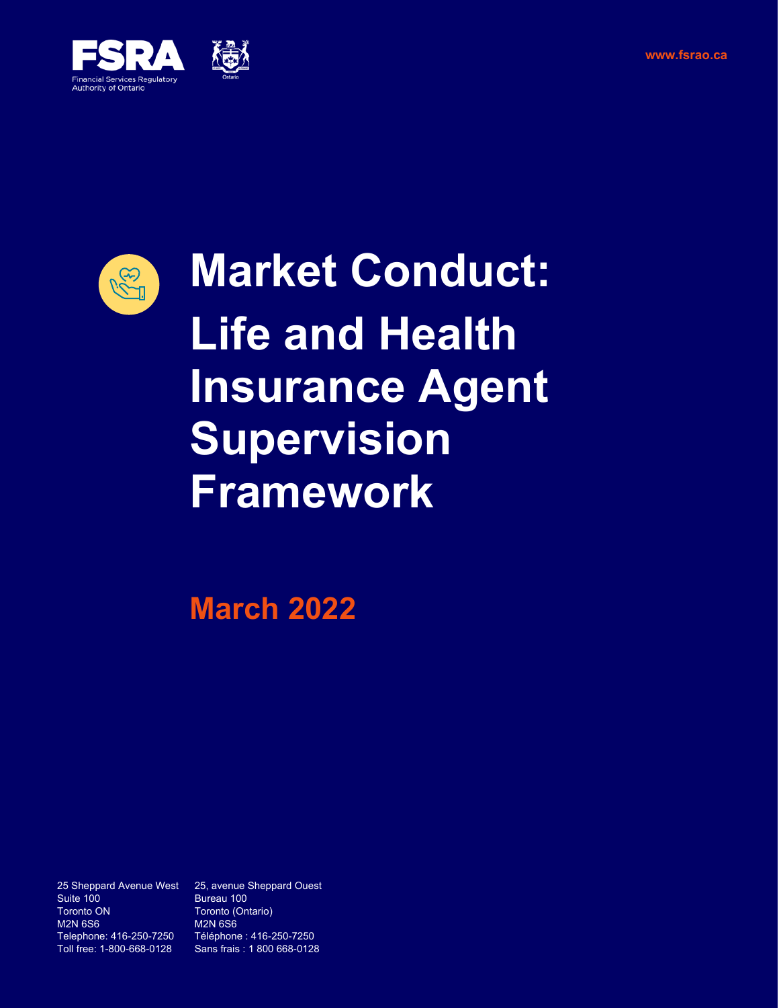



**Market Conduct: Life and Health Insurance Agent Supervision Framework**

**March 2022**

Suite 100 Bureau 100<br>
Toronto ON Toronto (On M2N 6S6 M2N 6S6<br>Telephone: 416-250-7250 Téléphone Telephone: 416-250-7250 Téléphone : 416-250-7250

25 Sheppard Avenue West 25, avenue Sheppard Ouest Toronto (Ontario) Sans frais : 1 800 668-0128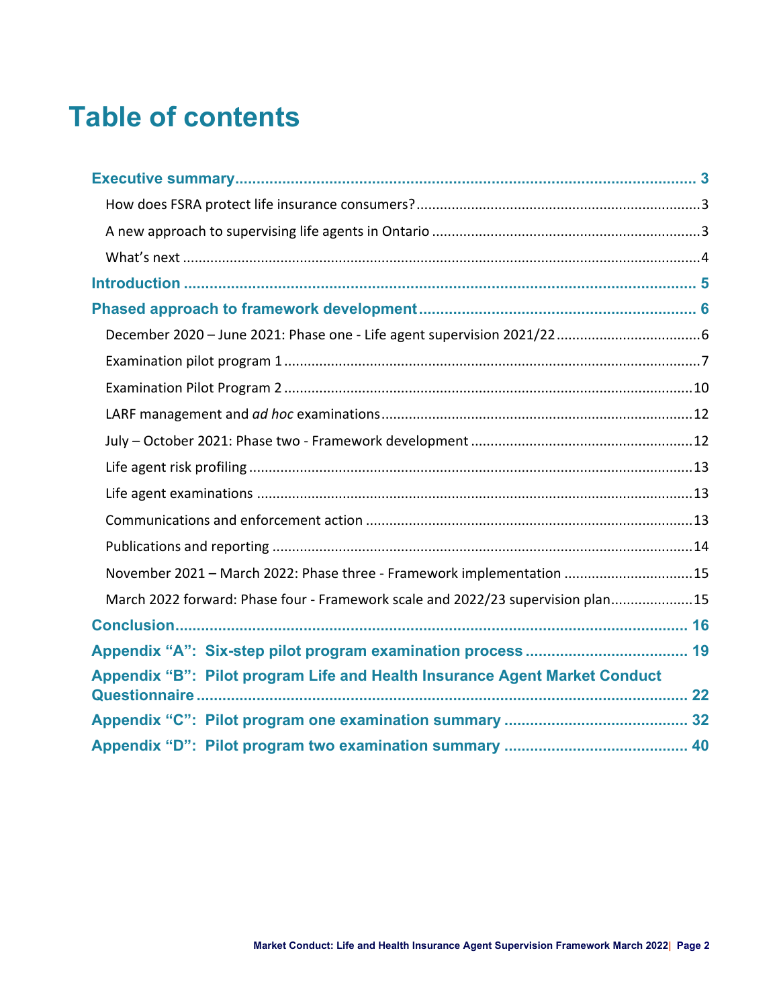# **Table of contents**

| November 2021 - March 2022: Phase three - Framework implementation 15           |
|---------------------------------------------------------------------------------|
| March 2022 forward: Phase four - Framework scale and 2022/23 supervision plan15 |
|                                                                                 |
|                                                                                 |
| Appendix "B": Pilot program Life and Health Insurance Agent Market Conduct      |
|                                                                                 |
|                                                                                 |
|                                                                                 |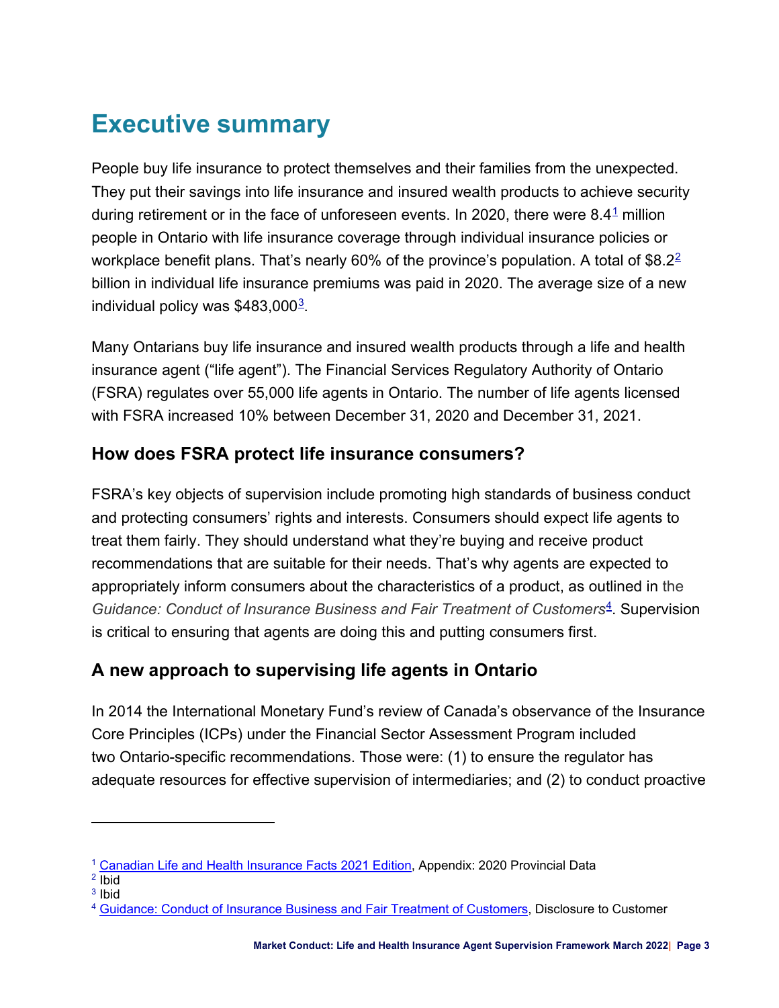# <span id="page-2-0"></span>**Executive summary**

<span id="page-2-6"></span><span id="page-2-4"></span>People buy life insurance to protect themselves and their families from the unexpected. They put their savings into life insurance and insured wealth products to achieve security during retirement or in the face of unforeseen events. In 2020, there were  $8.4<sup>1</sup>$  $8.4<sup>1</sup>$  $8.4<sup>1</sup>$  million people in Ontario with life insurance coverage through individual insurance policies or workplace benefit plans. That's nearly 60% of the province's population. A total of  $$8.2<sup>2</sup>$  $$8.2<sup>2</sup>$  $$8.2<sup>2</sup>$ billion in individual life insurance premiums was paid in 2020. The average size of a new individual policy was  $$483,000^3$  $$483,000^3$  $$483,000^3$ .

<span id="page-2-8"></span>Many Ontarians buy life insurance and insured wealth products through a life and health insurance agent ("life agent"). The Financial Services Regulatory Authority of Ontario (FSRA) regulates over 55,000 life agents in Ontario. The number of life agents licensed with FSRA increased 10% between December 31, 2020 and December 31, 2021.

## <span id="page-2-1"></span>**How does FSRA protect life insurance consumers?**

FSRA's key objects of supervision include promoting high standards of business conduct and protecting consumers' rights and interests. Consumers should expect life agents to treat them fairly. They should understand what they're buying and receive product recommendations that are suitable for their needs. That's why agents are expected to appropriately inform consumers about the characteristics of a product, as outlined in the *Guidance: Conduct of Insurance Business and Fair Treatment of Customers*[4](#page-2-9). Supervision is critical to ensuring that agents are doing this and putting consumers first.

## <span id="page-2-10"></span><span id="page-2-2"></span>**A new approach to supervising life agents in Ontario**

In 2014 the International Monetary Fund's review of Canada's observance of the Insurance Core Principles (ICPs) under the Financial Sector Assessment Program included two Ontario-specific recommendations. Those were: (1) to ensure the regulator has adequate resources for effective supervision of intermediaries; and (2) to conduct proactive

<span id="page-2-3"></span>[<sup>1</sup>](#page-2-4) [Canadian Life and Health Insurance Facts 2021 Edition,](http://clhia.uberflip.com/i/1409216-canadian-life-and-health-insurance-facts-2021/0?) Appendix: 2020 Provincial Data

<span id="page-2-5"></span>[<sup>2</sup>](#page-2-6) Ibid

<span id="page-2-7"></span> $3$  Ibid

<span id="page-2-9"></span>[<sup>4</sup>](#page-2-10) [Guidance: Conduct of Insurance Business and Fair Treatment of Customers](https://www.ccir-ccrra.org/Documents/View/3377), Disclosure to Customer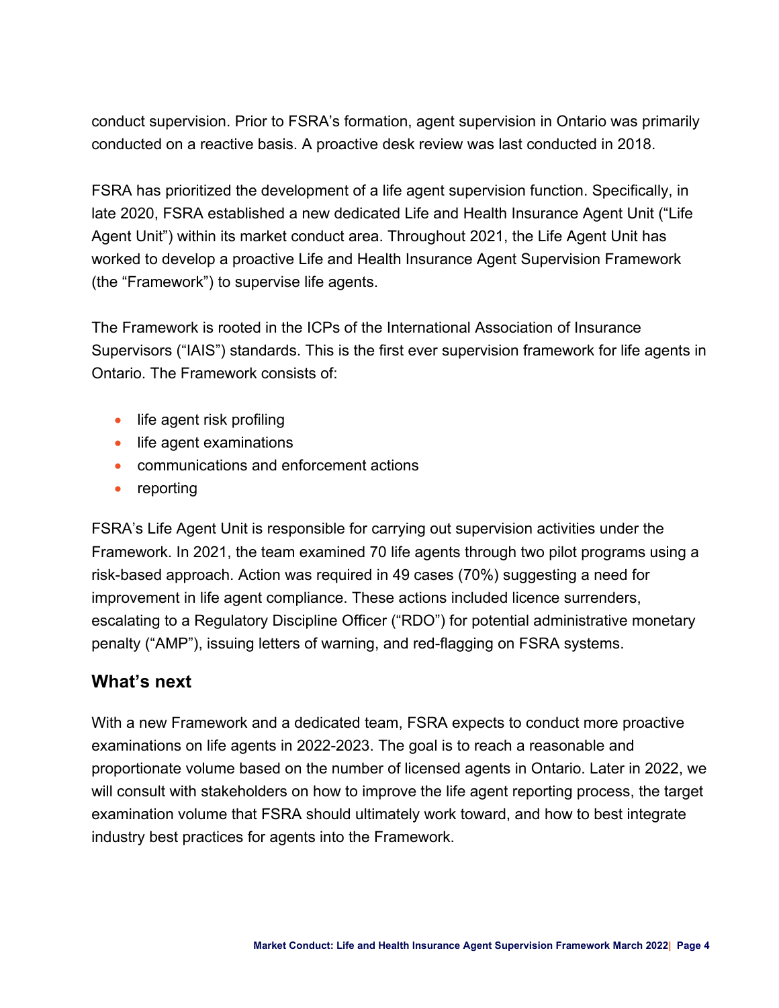conduct supervision. Prior to FSRA's formation, agent supervision in Ontario was primarily conducted on a reactive basis. A proactive desk review was last conducted in 2018.

FSRA has prioritized the development of a life agent supervision function. Specifically, in late 2020, FSRA established a new dedicated Life and Health Insurance Agent Unit ("Life Agent Unit") within its market conduct area. Throughout 2021, the Life Agent Unit has worked to develop a proactive Life and Health Insurance Agent Supervision Framework (the "Framework") to supervise life agents.

The Framework is rooted in the ICPs of the International Association of Insurance Supervisors ("IAIS") standards. This is the first ever supervision framework for life agents in Ontario. The Framework consists of:

- life agent risk profiling
- life agent examinations
- communications and enforcement actions
- reporting

FSRA's Life Agent Unit is responsible for carrying out supervision activities under the Framework. In 2021, the team examined 70 life agents through two pilot programs using a risk-based approach. Action was required in 49 cases (70%) suggesting a need for improvement in life agent compliance. These actions included licence surrenders, escalating to a Regulatory Discipline Officer ("RDO") for potential administrative monetary penalty ("AMP"), issuing letters of warning, and red-flagging on FSRA systems.

## <span id="page-3-0"></span>**What's next**

With a new Framework and a dedicated team, FSRA expects to conduct more proactive examinations on life agents in 2022-2023. The goal is to reach a reasonable and proportionate volume based on the number of licensed agents in Ontario. Later in 2022, we will consult with stakeholders on how to improve the life agent reporting process, the target examination volume that FSRA should ultimately work toward, and how to best integrate industry best practices for agents into the Framework.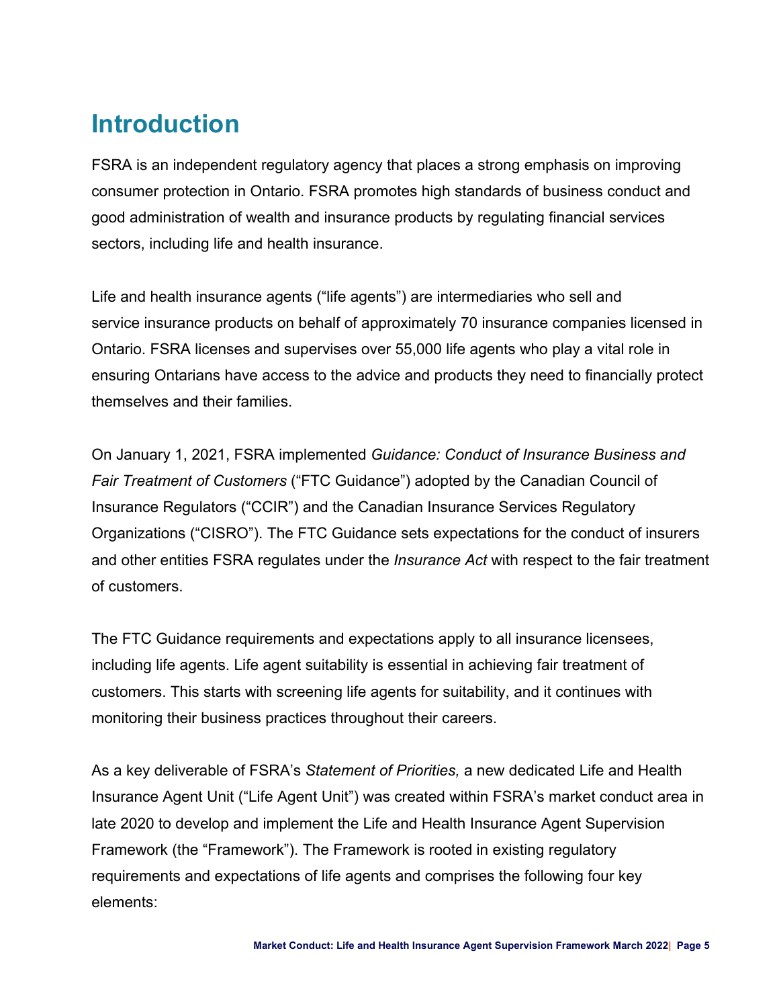# <span id="page-4-0"></span>**Introduction**

FSRA is an independent regulatory agency that places a strong emphasis on improving consumer protection in Ontario. FSRA promotes high standards of business conduct and good administration of wealth and insurance products by regulating financial services sectors, including life and health insurance.

Life and health insurance agents ("life agents") are intermediaries who sell and service insurance products on behalf of approximately 70 insurance companies licensed in Ontario. FSRA licenses and supervises over 55,000 life agents who play a vital role in ensuring Ontarians have access to the advice and products they need to financially protect themselves and their families.

On January 1, 2021, FSRA implemented *Guidance: Conduct of Insurance Business and Fair Treatment of Customers* ("FTC Guidance") adopted by the Canadian Council of Insurance Regulators ("CCIR") and the Canadian Insurance Services Regulatory Organizations ("CISRO"). The FTC Guidance sets expectations for the conduct of insurers and other entities FSRA regulates under the *Insurance Act* with respect to the fair treatment of customers.

The FTC Guidance requirements and expectations apply to all insurance licensees, including life agents. Life agent suitability is essential in achieving fair treatment of customers. This starts with screening life agents for suitability, and it continues with monitoring their business practices throughout their careers.

As a key deliverable of FSRA's *Statement of Priorities,* a new dedicated Life and Health Insurance Agent Unit ("Life Agent Unit") was created within FSRA's market conduct area in late 2020 to develop and implement the Life and Health Insurance Agent Supervision Framework (the "Framework"). The Framework is rooted in existing regulatory requirements and expectations of life agents and comprises the following four key elements: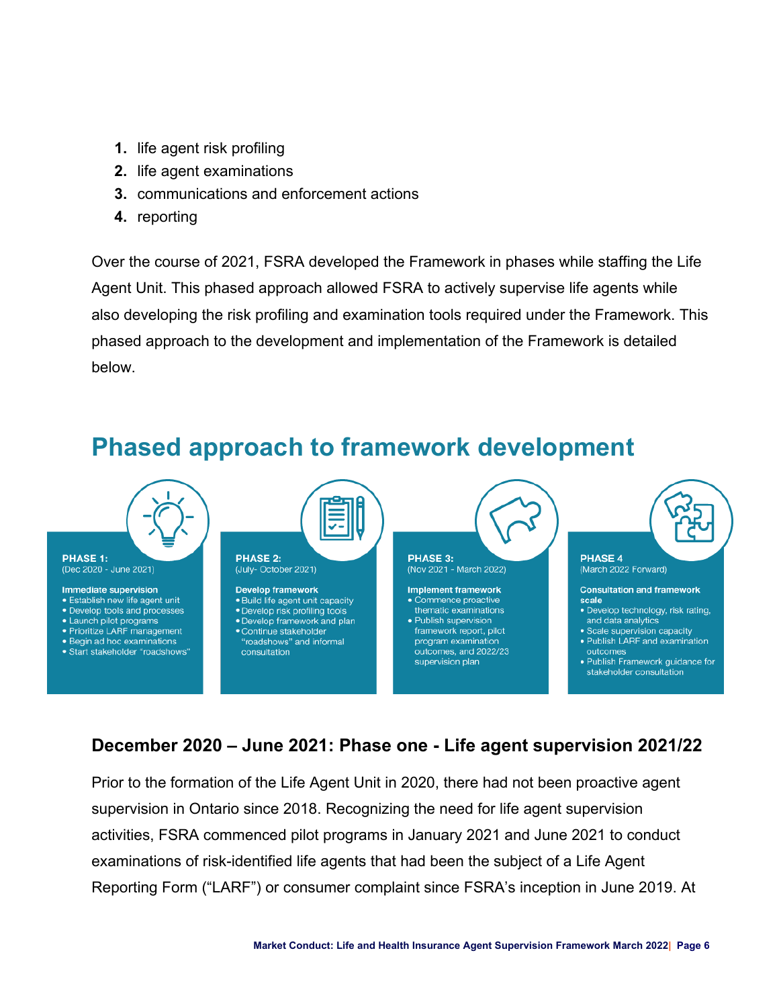- **1.** life agent risk profiling
- **2.** life agent examinations
- **3.** communications and enforcement actions
- **4.** reporting

Over the course of 2021, FSRA developed the Framework in phases while staffing the Life Agent Unit. This phased approach allowed FSRA to actively supervise life agents while also developing the risk profiling and examination tools required under the Framework. This phased approach to the development and implementation of the Framework is detailed below.

<span id="page-5-0"></span>

## <span id="page-5-1"></span>**December 2020 – June 2021: Phase one - Life agent supervision 2021/22**

Prior to the formation of the Life Agent Unit in 2020, there had not been proactive agent supervision in Ontario since 2018. Recognizing the need for life agent supervision activities, FSRA commenced pilot programs in January 2021 and June 2021 to conduct examinations of risk-identified life agents that had been the subject of a Life Agent Reporting Form ("LARF") or consumer complaint since FSRA's inception in June 2019. At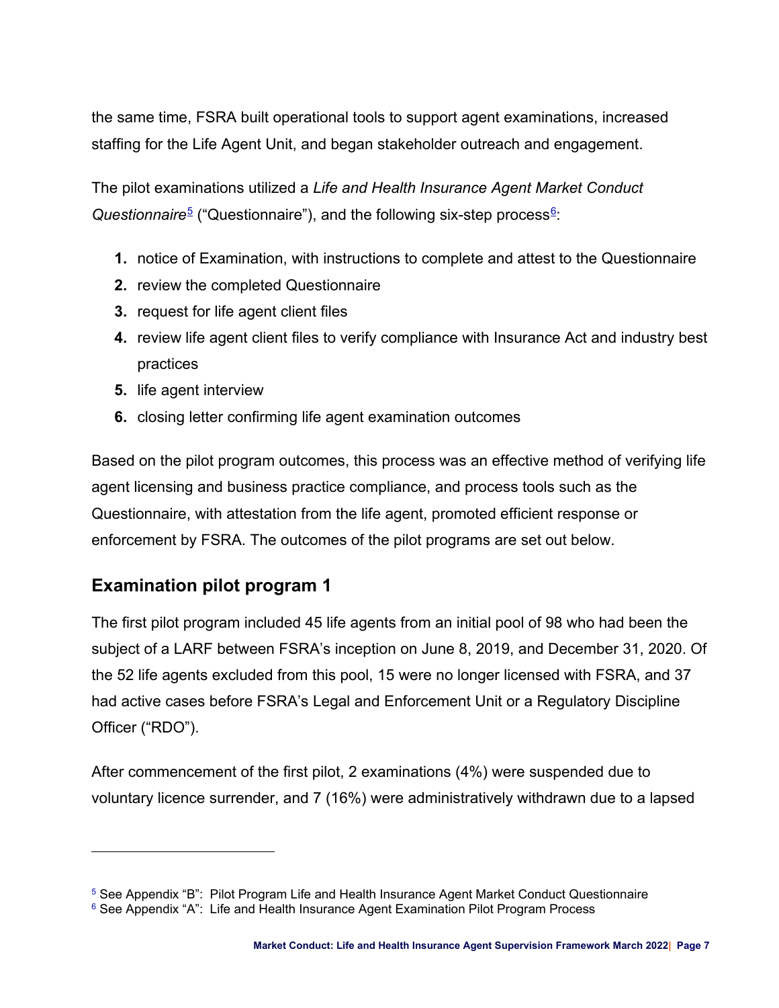the same time, FSRA built operational tools to support agent examinations, increased staffing for the Life Agent Unit, and began stakeholder outreach and engagement.

The pilot examinations utilized a *Life and Health Insurance Agent Market Conduct Questionnaire*<sup>[5](#page-6-1)</sup> ("Questionnaire"), and the following six-step process<sup>[6](#page-6-3)</sup>:

- <span id="page-6-4"></span><span id="page-6-2"></span>**1.** notice of Examination, with instructions to complete and attest to the Questionnaire
- **2.** review the completed Questionnaire
- **3.** request for life agent client files
- **4.** review life agent client files to verify compliance with Insurance Act and industry best practices
- **5.** life agent interview
- **6.** closing letter confirming life agent examination outcomes

Based on the pilot program outcomes, this process was an effective method of verifying life agent licensing and business practice compliance, and process tools such as the Questionnaire, with attestation from the life agent, promoted efficient response or enforcement by FSRA. The outcomes of the pilot programs are set out below.

## <span id="page-6-0"></span>**Examination pilot program 1**

The first pilot program included 45 life agents from an initial pool of 98 who had been the subject of a LARF between FSRA's inception on June 8, 2019, and December 31, 2020. Of the 52 life agents excluded from this pool, 15 were no longer licensed with FSRA, and 37 had active cases before FSRA's Legal and Enforcement Unit or a Regulatory Discipline Officer ("RDO").

After commencement of the first pilot, 2 examinations (4%) were suspended due to voluntary licence surrender, and 7 (16%) were administratively withdrawn due to a lapsed

<span id="page-6-1"></span><sup>&</sup>lt;sup>[5](#page-6-2)</sup> See Appendix "B": Pilot Program Life and Health Insurance Agent Market Conduct Questionnaire

<span id="page-6-3"></span> $6$  See Appendix "A": Life and Health Insurance Agent Examination Pilot Program Process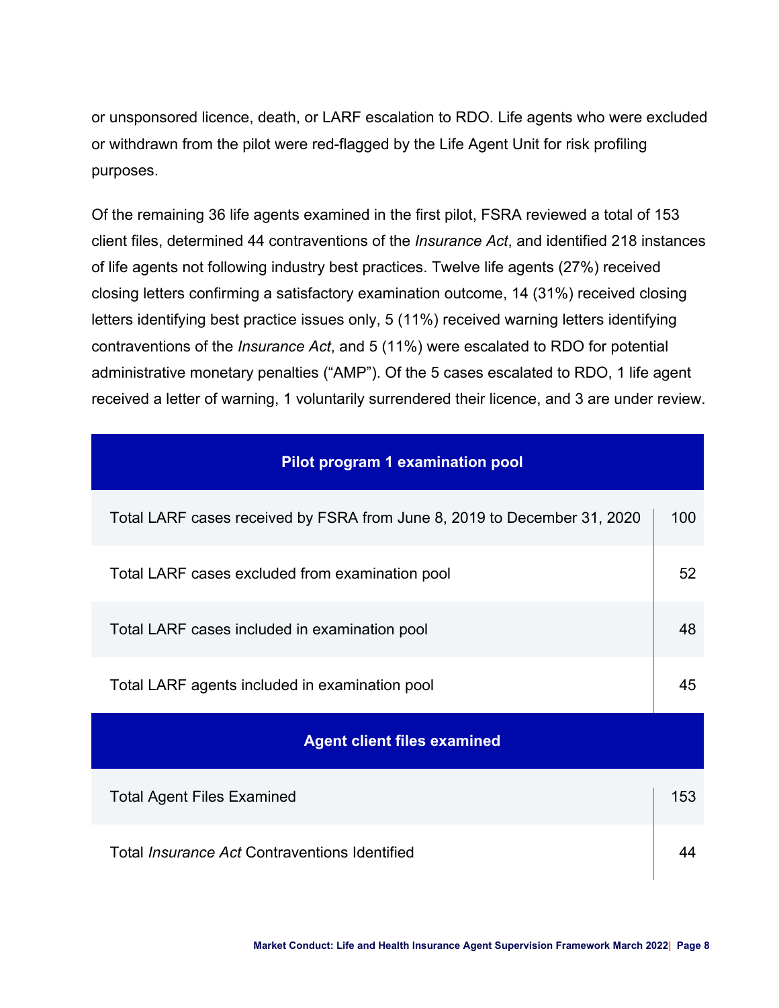or unsponsored licence, death, or LARF escalation to RDO. Life agents who were excluded or withdrawn from the pilot were red-flagged by the Life Agent Unit for risk profiling purposes.

Of the remaining 36 life agents examined in the first pilot, FSRA reviewed a total of 153 client files, determined 44 contraventions of the *Insurance Act*, and identified 218 instances of life agents not following industry best practices. Twelve life agents (27%) received closing letters confirming a satisfactory examination outcome, 14 (31%) received closing letters identifying best practice issues only, 5 (11%) received warning letters identifying contraventions of the *Insurance Act*, and 5 (11%) were escalated to RDO for potential administrative monetary penalties ("AMP"). Of the 5 cases escalated to RDO, 1 life agent received a letter of warning, 1 voluntarily surrendered their licence, and 3 are under review.

| Pilot program 1 examination pool                                         |     |  |  |
|--------------------------------------------------------------------------|-----|--|--|
| Total LARF cases received by FSRA from June 8, 2019 to December 31, 2020 | 100 |  |  |
| Total LARF cases excluded from examination pool                          | 52  |  |  |
| Total LARF cases included in examination pool                            |     |  |  |
| Total LARF agents included in examination pool                           |     |  |  |
| <b>Agent client files examined</b>                                       |     |  |  |
| <b>Total Agent Files Examined</b>                                        | 153 |  |  |
| Total <i>Insurance Act</i> Contraventions Identified                     |     |  |  |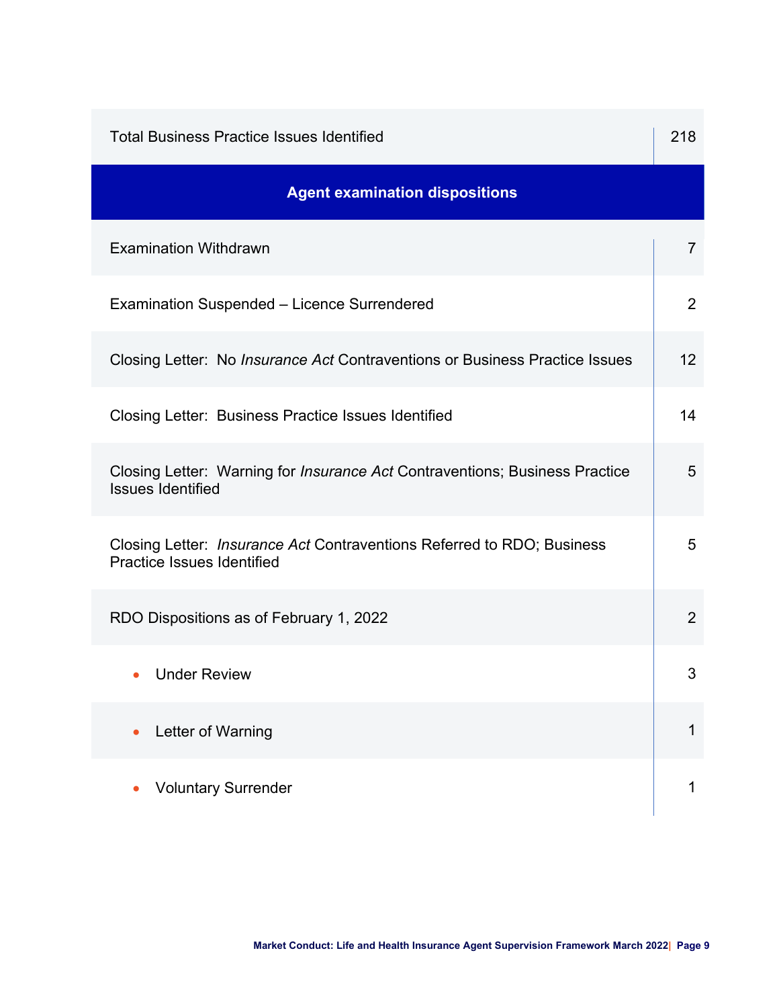| <b>Total Business Practice Issues Identified</b>                                                                   |                |  |  |  |
|--------------------------------------------------------------------------------------------------------------------|----------------|--|--|--|
| <b>Agent examination dispositions</b>                                                                              |                |  |  |  |
| <b>Examination Withdrawn</b>                                                                                       | $\overline{7}$ |  |  |  |
| <b>Examination Suspended - Licence Surrendered</b>                                                                 | 2              |  |  |  |
| Closing Letter: No <i>Insurance Act</i> Contraventions or Business Practice Issues                                 | 12             |  |  |  |
| Closing Letter: Business Practice Issues Identified                                                                | 14             |  |  |  |
| Closing Letter: Warning for <i>Insurance Act</i> Contraventions; Business Practice<br><b>Issues Identified</b>     | 5              |  |  |  |
| Closing Letter: <i>Insurance Act</i> Contraventions Referred to RDO; Business<br><b>Practice Issues Identified</b> | 5              |  |  |  |
| RDO Dispositions as of February 1, 2022                                                                            | 2              |  |  |  |
| <b>Under Review</b>                                                                                                | 3              |  |  |  |
| Letter of Warning                                                                                                  | 1              |  |  |  |
| <b>Voluntary Surrender</b>                                                                                         | 1              |  |  |  |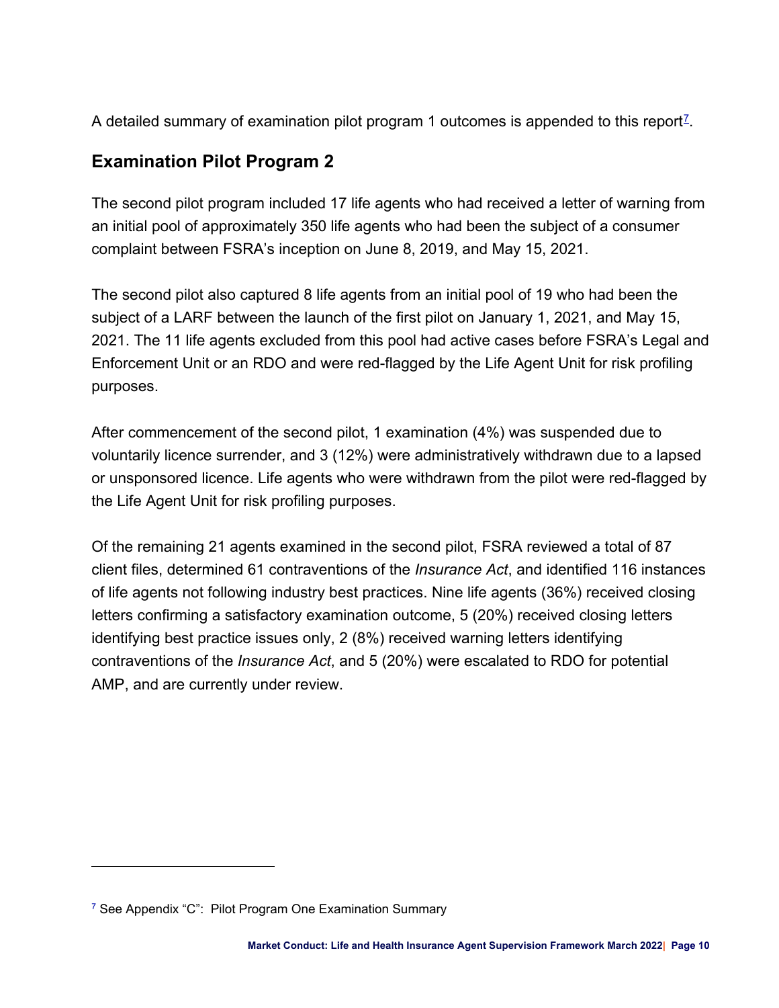<span id="page-9-2"></span>A detailed summary of examination pilot program 1 outcomes is appended to this report<sup> $\mathcal{I}$ </sup>.

## <span id="page-9-0"></span>**Examination Pilot Program 2**

The second pilot program included 17 life agents who had received a letter of warning from an initial pool of approximately 350 life agents who had been the subject of a consumer complaint between FSRA's inception on June 8, 2019, and May 15, 2021.

The second pilot also captured 8 life agents from an initial pool of 19 who had been the subject of a LARF between the launch of the first pilot on January 1, 2021, and May 15, 2021. The 11 life agents excluded from this pool had active cases before FSRA's Legal and Enforcement Unit or an RDO and were red-flagged by the Life Agent Unit for risk profiling purposes.

After commencement of the second pilot, 1 examination (4%) was suspended due to voluntarily licence surrender, and 3 (12%) were administratively withdrawn due to a lapsed or unsponsored licence. Life agents who were withdrawn from the pilot were red-flagged by the Life Agent Unit for risk profiling purposes.

Of the remaining 21 agents examined in the second pilot, FSRA reviewed a total of 87 client files, determined 61 contraventions of the *Insurance Act*, and identified 116 instances of life agents not following industry best practices. Nine life agents (36%) received closing letters confirming a satisfactory examination outcome, 5 (20%) received closing letters identifying best practice issues only, 2 (8%) received warning letters identifying contraventions of the *Insurance Act*, and 5 (20%) were escalated to RDO for potential AMP, and are currently under review.

<span id="page-9-1"></span><sup>&</sup>lt;sup>[7](#page-9-2)</sup> See Appendix "C": Pilot Program One Examination Summary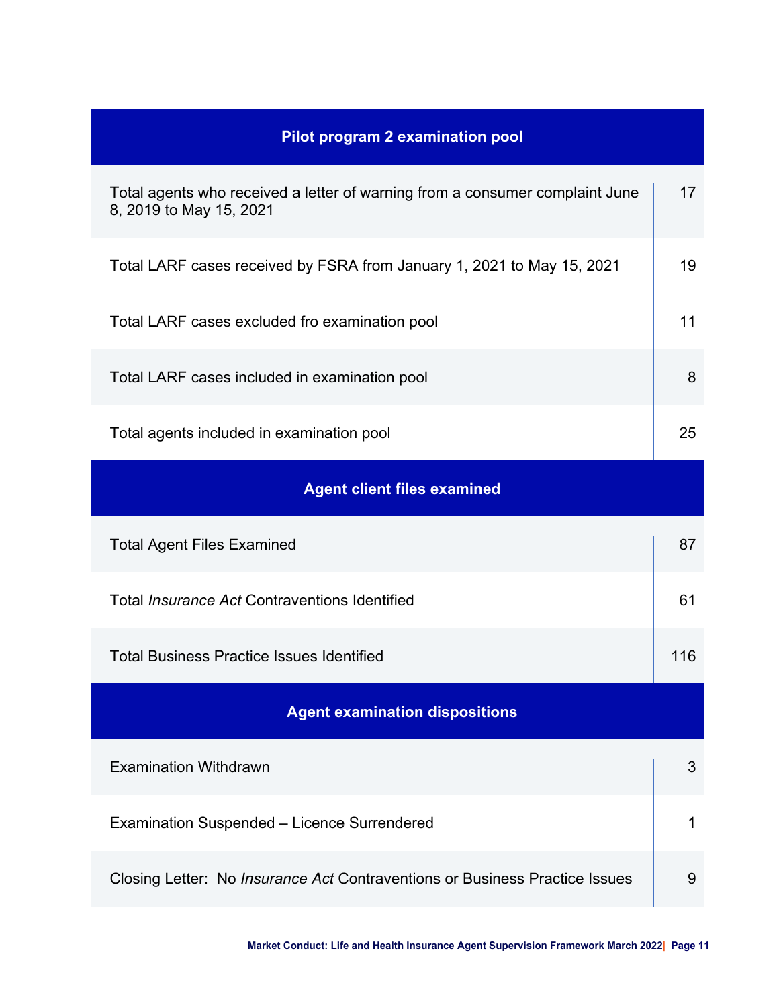| <b>Pilot program 2 examination pool</b>                                                                 |     |  |  |  |
|---------------------------------------------------------------------------------------------------------|-----|--|--|--|
| Total agents who received a letter of warning from a consumer complaint June<br>8, 2019 to May 15, 2021 | 17  |  |  |  |
| Total LARF cases received by FSRA from January 1, 2021 to May 15, 2021                                  | 19  |  |  |  |
| Total LARF cases excluded fro examination pool                                                          | 11  |  |  |  |
| Total LARF cases included in examination pool                                                           | 8   |  |  |  |
| Total agents included in examination pool                                                               | 25  |  |  |  |
| <b>Agent client files examined</b>                                                                      |     |  |  |  |
| <b>Total Agent Files Examined</b>                                                                       | 87  |  |  |  |
| Total <i>Insurance Act</i> Contraventions Identified                                                    | 61  |  |  |  |
| <b>Total Business Practice Issues Identified</b>                                                        | 116 |  |  |  |
| <b>Agent examination dispositions</b>                                                                   |     |  |  |  |
|                                                                                                         |     |  |  |  |
| <b>Examination Withdrawn</b>                                                                            | 3   |  |  |  |
| <b>Examination Suspended - Licence Surrendered</b>                                                      | 1   |  |  |  |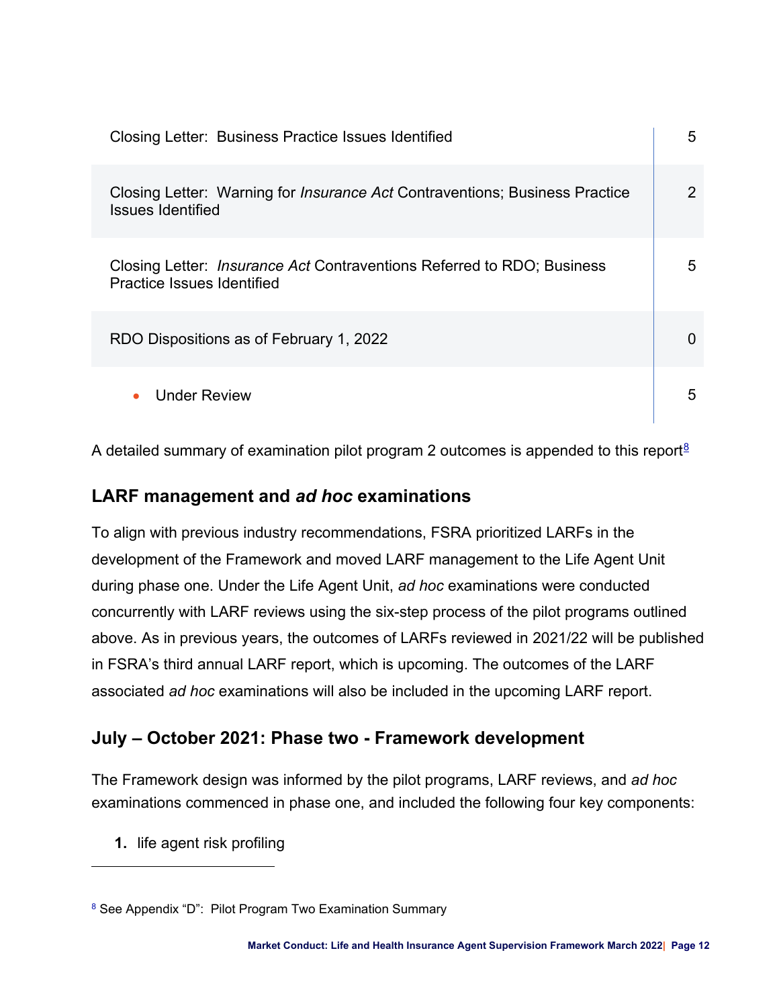| Closing Letter: Business Practice Issues Identified                                                            | 5 |
|----------------------------------------------------------------------------------------------------------------|---|
| Closing Letter: Warning for <i>Insurance Act</i> Contraventions; Business Practice<br><b>Issues Identified</b> | 2 |
| Closing Letter: <i>Insurance Act</i> Contraventions Referred to RDO; Business<br>Practice Issues Identified    | 5 |
| RDO Dispositions as of February 1, 2022                                                                        |   |
| <b>Under Review</b>                                                                                            | 5 |

<span id="page-11-3"></span>A detailed summary of examination pilot program 2 outcomes is appended to this report<sup>8</sup>

## <span id="page-11-0"></span>**LARF management and** *ad hoc* **examinations**

To align with previous industry recommendations, FSRA prioritized LARFs in the development of the Framework and moved LARF management to the Life Agent Unit during phase one. Under the Life Agent Unit, *ad hoc* examinations were conducted concurrently with LARF reviews using the six-step process of the pilot programs outlined above. As in previous years, the outcomes of LARFs reviewed in 2021/22 will be published in FSRA's third annual LARF report, which is upcoming. The outcomes of the LARF associated *ad hoc* examinations will also be included in the upcoming LARF report.

## <span id="page-11-1"></span>**July – October 2021: Phase two - Framework development**

The Framework design was informed by the pilot programs, LARF reviews, and *ad hoc* examinations commenced in phase one, and included the following four key components:

**1.** life agent risk profiling

<span id="page-11-2"></span>[<sup>8</sup>](#page-11-3) See Appendix "D": Pilot Program Two Examination Summary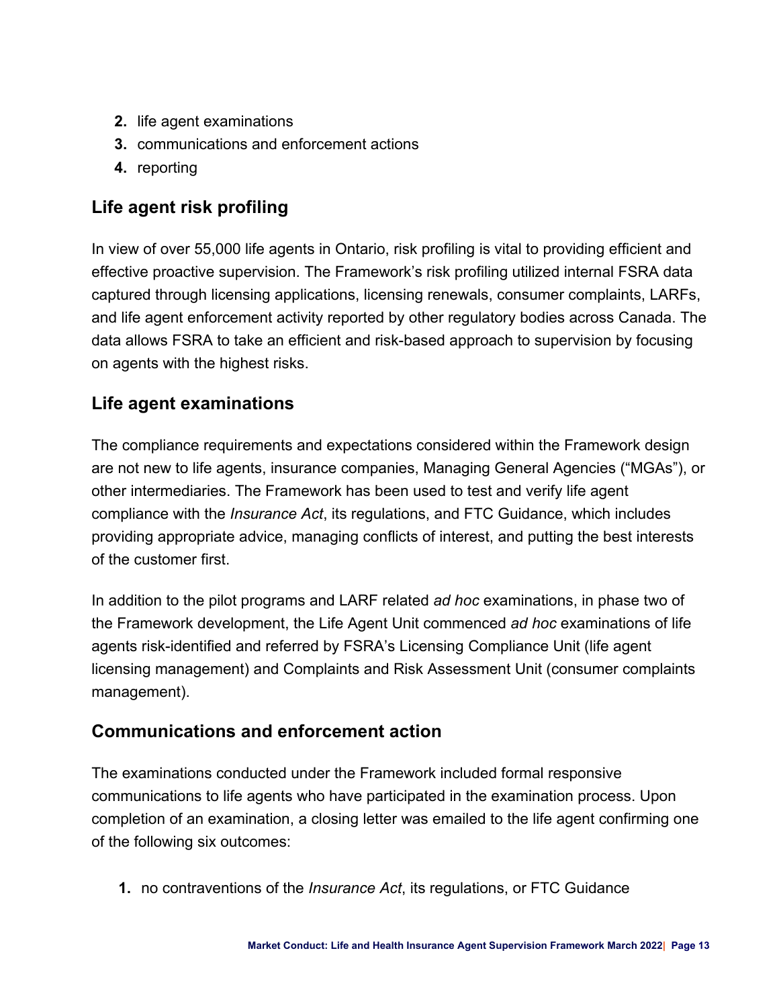- **2.** life agent examinations
- **3.** communications and enforcement actions
- **4.** reporting

## <span id="page-12-0"></span>**Life agent risk profiling**

In view of over 55,000 life agents in Ontario, risk profiling is vital to providing efficient and effective proactive supervision. The Framework's risk profiling utilized internal FSRA data captured through licensing applications, licensing renewals, consumer complaints, LARFs, and life agent enforcement activity reported by other regulatory bodies across Canada. The data allows FSRA to take an efficient and risk-based approach to supervision by focusing on agents with the highest risks.

## <span id="page-12-1"></span>**Life agent examinations**

The compliance requirements and expectations considered within the Framework design are not new to life agents, insurance companies, Managing General Agencies ("MGAs"), or other intermediaries. The Framework has been used to test and verify life agent compliance with the *Insurance Act*, its regulations, and FTC Guidance, which includes providing appropriate advice, managing conflicts of interest, and putting the best interests of the customer first.

In addition to the pilot programs and LARF related *ad hoc* examinations, in phase two of the Framework development, the Life Agent Unit commenced *ad hoc* examinations of life agents risk-identified and referred by FSRA's Licensing Compliance Unit (life agent licensing management) and Complaints and Risk Assessment Unit (consumer complaints management).

## <span id="page-12-2"></span>**Communications and enforcement action**

The examinations conducted under the Framework included formal responsive communications to life agents who have participated in the examination process. Upon completion of an examination, a closing letter was emailed to the life agent confirming one of the following six outcomes:

**1.** no contraventions of the *Insurance Act*, its regulations, or FTC Guidance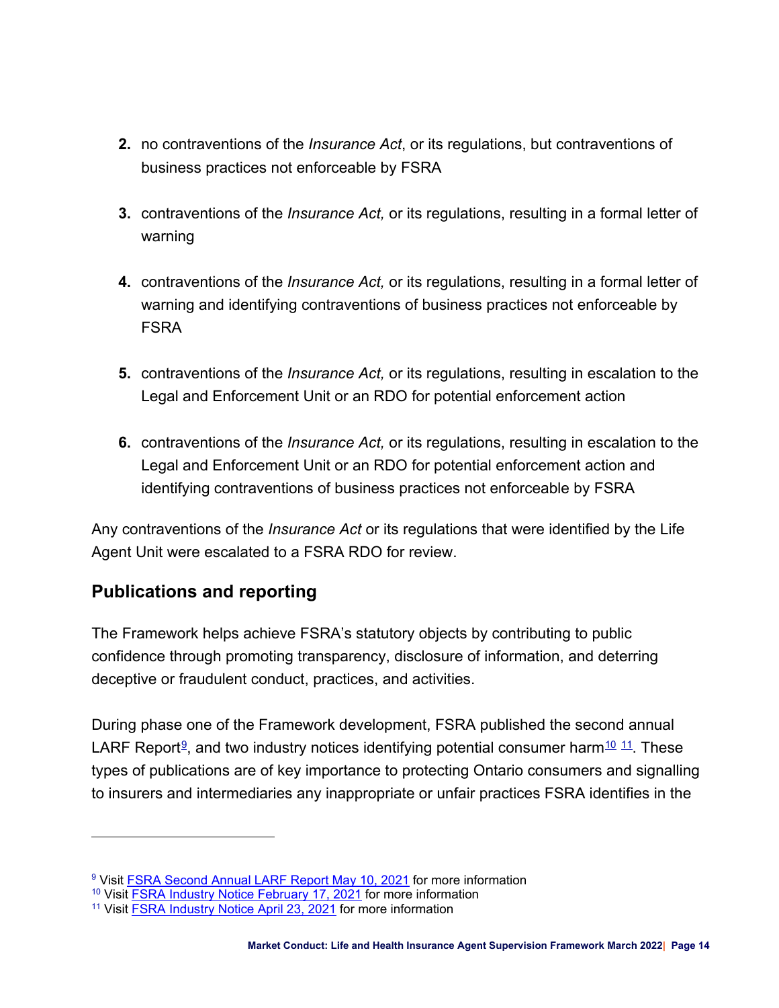- **2.** no contraventions of the *Insurance Act*, or its regulations, but contraventions of business practices not enforceable by FSRA
- **3.** contraventions of the *Insurance Act,* or its regulations, resulting in a formal letter of warning
- **4.** contraventions of the *Insurance Act,* or its regulations, resulting in a formal letter of warning and identifying contraventions of business practices not enforceable by FSRA
- **5.** contraventions of the *Insurance Act,* or its regulations, resulting in escalation to the Legal and Enforcement Unit or an RDO for potential enforcement action
- **6.** contraventions of the *Insurance Act,* or its regulations, resulting in escalation to the Legal and Enforcement Unit or an RDO for potential enforcement action and identifying contraventions of business practices not enforceable by FSRA

Any contraventions of the *Insurance Act* or its regulations that were identified by the Life Agent Unit were escalated to a FSRA RDO for review.

## <span id="page-13-0"></span>**Publications and reporting**

The Framework helps achieve FSRA's statutory objects by contributing to public confidence through promoting transparency, disclosure of information, and deterring deceptive or fraudulent conduct, practices, and activities.

<span id="page-13-6"></span><span id="page-13-4"></span><span id="page-13-2"></span>During phase one of the Framework development, FSRA published the second annual LARF Report<sup>[9](#page-13-1)</sup>, and two industry notices identifying potential consumer harm<sup>[10](#page-13-3) [11](#page-13-5)</sup>. These types of publications are of key importance to protecting Ontario consumers and signalling to insurers and intermediaries any inappropriate or unfair practices FSRA identifies in the

<span id="page-13-1"></span><sup>&</sup>lt;sup>[9](#page-13-2)</sup> Visit [FSRA Second Annual LARF Report May 10, 2021](https://www.fsrao.ca/media/3961/download) for more information

<span id="page-13-3"></span><sup>&</sup>lt;sup>[10](#page-13-4)</sup> Visit **[FSRA Industry Notice February 17, 2021](https://www.fsrao.ca/newsroom/fsra-requires-insurers-monitor-agent-conduct)** for more information

<span id="page-13-5"></span>[<sup>11</sup>](#page-13-6) Visit [FSRA Industry Notice April 23, 2021](https://www.fsrao.ca/newsroom/fsra-expects-insurers-oversee-and-monitor-agent-and-managing-general-agency-conduct) for more information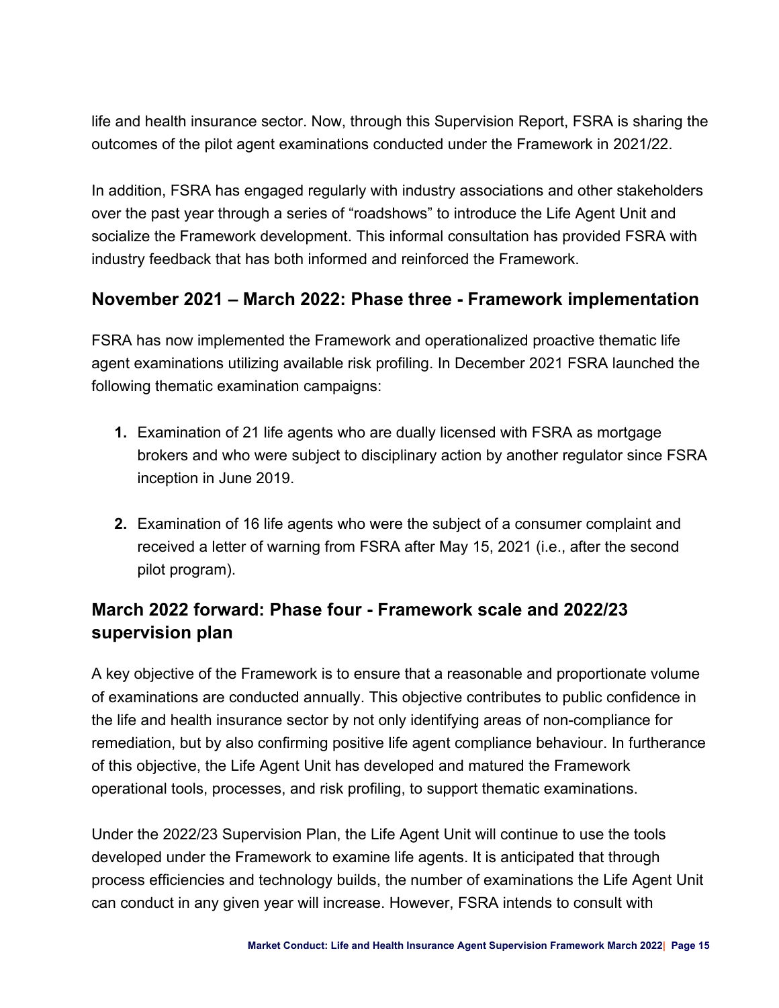life and health insurance sector. Now, through this Supervision Report, FSRA is sharing the outcomes of the pilot agent examinations conducted under the Framework in 2021/22.

In addition, FSRA has engaged regularly with industry associations and other stakeholders over the past year through a series of "roadshows" to introduce the Life Agent Unit and socialize the Framework development. This informal consultation has provided FSRA with industry feedback that has both informed and reinforced the Framework.

## <span id="page-14-0"></span>**November 2021 – March 2022: Phase three - Framework implementation**

FSRA has now implemented the Framework and operationalized proactive thematic life agent examinations utilizing available risk profiling. In December 2021 FSRA launched the following thematic examination campaigns:

- **1.** Examination of 21 life agents who are dually licensed with FSRA as mortgage brokers and who were subject to disciplinary action by another regulator since FSRA inception in June 2019.
- **2.** Examination of 16 life agents who were the subject of a consumer complaint and received a letter of warning from FSRA after May 15, 2021 (i.e., after the second pilot program).

## <span id="page-14-1"></span>**March 2022 forward: Phase four - Framework scale and 2022/23 supervision plan**

A key objective of the Framework is to ensure that a reasonable and proportionate volume of examinations are conducted annually. This objective contributes to public confidence in the life and health insurance sector by not only identifying areas of non-compliance for remediation, but by also confirming positive life agent compliance behaviour. In furtherance of this objective, the Life Agent Unit has developed and matured the Framework operational tools, processes, and risk profiling, to support thematic examinations.

Under the 2022/23 Supervision Plan, the Life Agent Unit will continue to use the tools developed under the Framework to examine life agents. It is anticipated that through process efficiencies and technology builds, the number of examinations the Life Agent Unit can conduct in any given year will increase. However, FSRA intends to consult with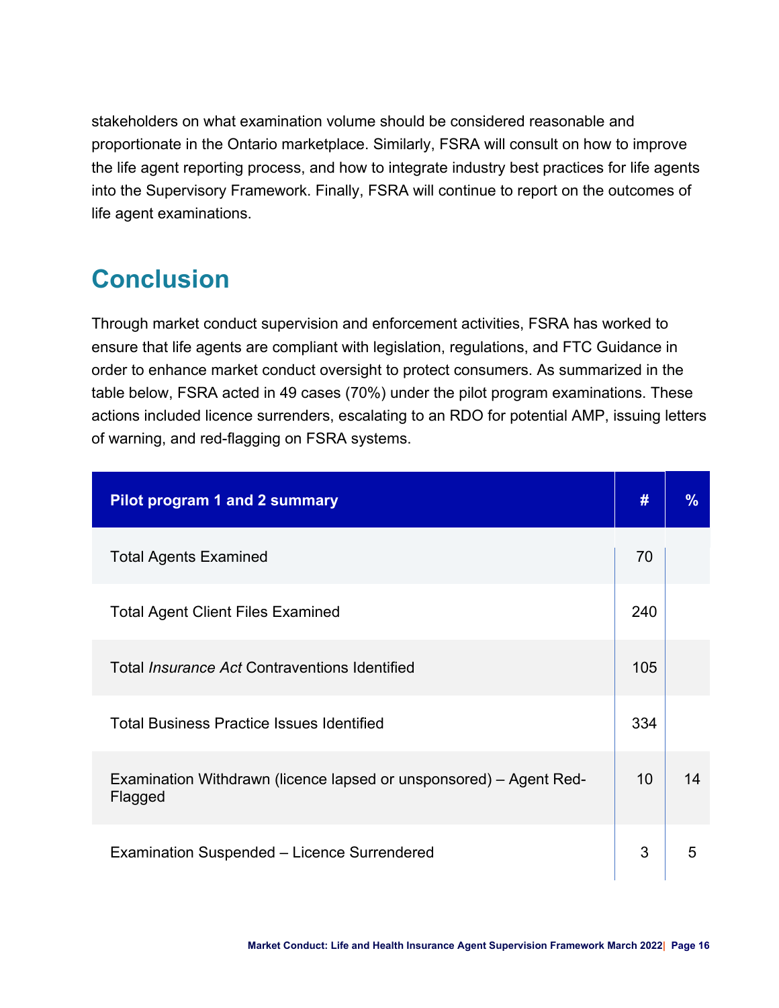stakeholders on what examination volume should be considered reasonable and proportionate in the Ontario marketplace. Similarly, FSRA will consult on how to improve the life agent reporting process, and how to integrate industry best practices for life agents into the Supervisory Framework. Finally, FSRA will continue to report on the outcomes of life agent examinations.

# <span id="page-15-0"></span>**Conclusion**

Through market conduct supervision and enforcement activities, FSRA has worked to ensure that life agents are compliant with legislation, regulations, and FTC Guidance in order to enhance market conduct oversight to protect consumers. As summarized in the table below, FSRA acted in 49 cases (70%) under the pilot program examinations. These actions included licence surrenders, escalating to an RDO for potential AMP, issuing letters of warning, and red-flagging on FSRA systems.

| <b>Pilot program 1 and 2 summary</b>                                          | #               | $\%$ |
|-------------------------------------------------------------------------------|-----------------|------|
| <b>Total Agents Examined</b>                                                  | 70              |      |
| <b>Total Agent Client Files Examined</b>                                      | 240             |      |
| Total <i>Insurance Act</i> Contraventions Identified                          | 105             |      |
| <b>Total Business Practice Issues Identified</b>                              | 334             |      |
| Examination Withdrawn (licence lapsed or unsponsored) – Agent Red-<br>Flagged | 10 <sup>°</sup> | 14   |
| Examination Suspended - Licence Surrendered                                   | 3               | 5    |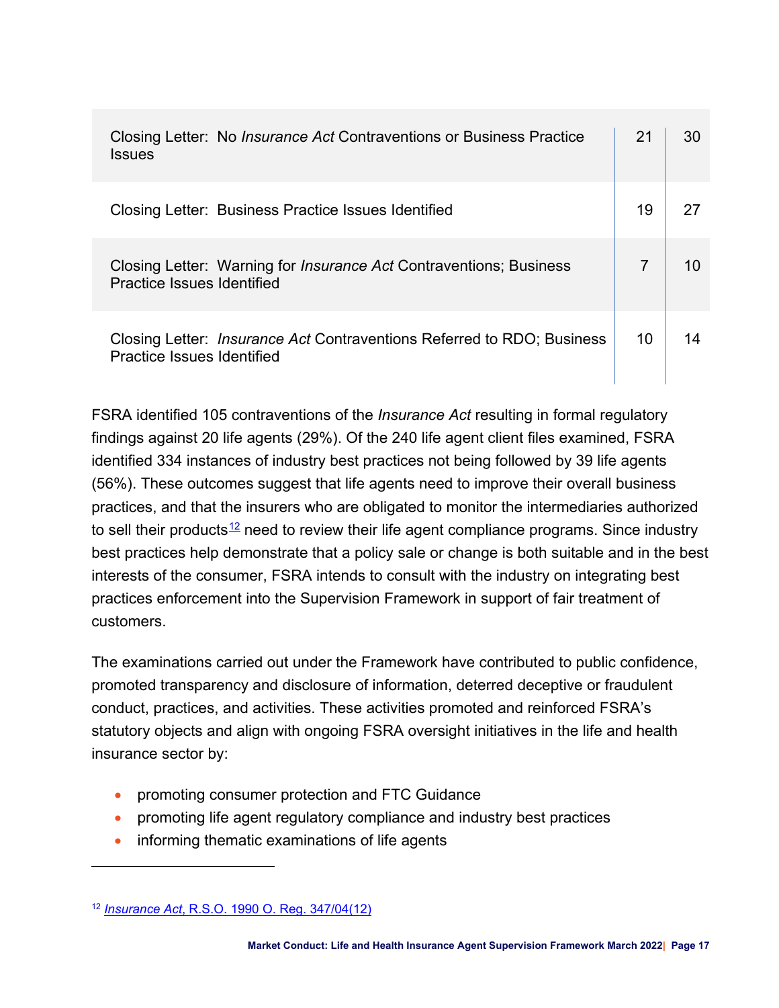| Closing Letter: No <i>Insurance Act</i> Contraventions or Business Practice<br><b>Issues</b>                |    | 30 |
|-------------------------------------------------------------------------------------------------------------|----|----|
| Closing Letter: Business Practice Issues Identified                                                         | 19 |    |
| Closing Letter: Warning for <i>Insurance Act</i> Contraventions; Business<br>Practice Issues Identified     |    |    |
| Closing Letter: <i>Insurance Act</i> Contraventions Referred to RDO; Business<br>Practice Issues Identified | 10 |    |

<span id="page-16-1"></span>FSRA identified 105 contraventions of the *Insurance Act* resulting in formal regulatory findings against 20 life agents (29%). Of the 240 life agent client files examined, FSRA identified 334 instances of industry best practices not being followed by 39 life agents (56%). These outcomes suggest that life agents need to improve their overall business practices, and that the insurers who are obligated to monitor the intermediaries authorized to sell their products<sup>[12](#page-16-0)</sup> need to review their life agent compliance programs. Since industry best practices help demonstrate that a policy sale or change is both suitable and in the best interests of the consumer, FSRA intends to consult with the industry on integrating best practices enforcement into the Supervision Framework in support of fair treatment of customers.

The examinations carried out under the Framework have contributed to public confidence, promoted transparency and disclosure of information, deterred deceptive or fraudulent conduct, practices, and activities. These activities promoted and reinforced FSRA's statutory objects and align with ongoing FSRA oversight initiatives in the life and health insurance sector by:

- promoting consumer protection and FTC Guidance
- promoting life agent regulatory compliance and industry best practices
- informing thematic examinations of life agents

<span id="page-16-0"></span>[<sup>12</sup>](#page-16-1) *Insurance Act*[, R.S.O. 1990 O. Reg. 347/04\(12\)](https://www.ontario.ca/laws/regulation/040347)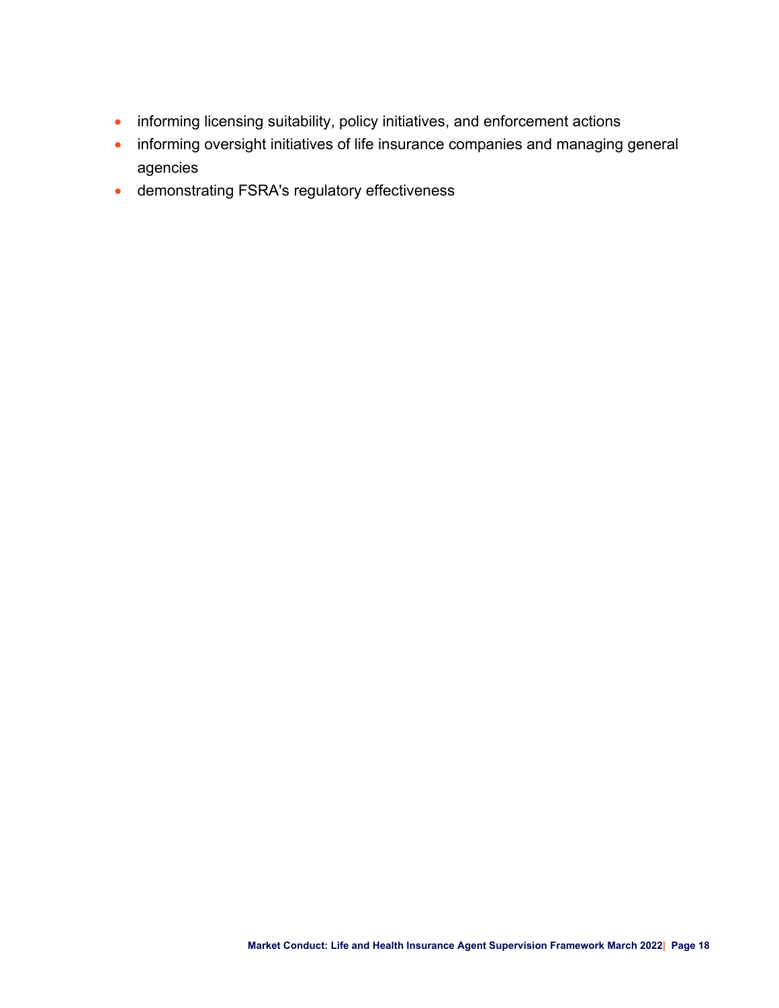- informing licensing suitability, policy initiatives, and enforcement actions
- informing oversight initiatives of life insurance companies and managing general agencies
- demonstrating FSRA's regulatory effectiveness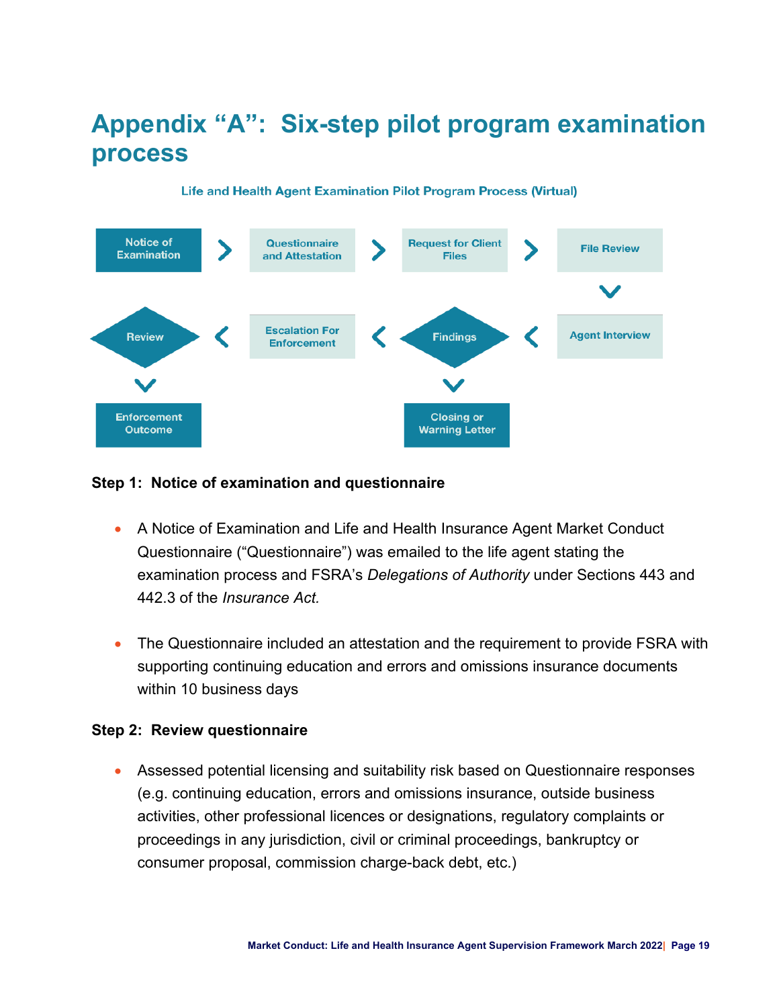# <span id="page-18-0"></span>**Appendix "A": Six-step pilot program examination process**

#### **Notice of Questionnaire Request for Client File Review Examination** and Attestation **Files Escalation For Agent Interview Review Findings Enforcement Enforcement Closing or Outcome Warning Letter**

#### Life and Health Agent Examination Pilot Program Process (Virtual)

#### **Step 1: Notice of examination and questionnaire**

- A Notice of Examination and Life and Health Insurance Agent Market Conduct Questionnaire ("Questionnaire") was emailed to the life agent stating the examination process and FSRA's *Delegations of Authority* under Sections 443 and 442.3 of the *Insurance Act.*
- The Questionnaire included an attestation and the requirement to provide FSRA with supporting continuing education and errors and omissions insurance documents within 10 business days

#### **Step 2: Review questionnaire**

• Assessed potential licensing and suitability risk based on Questionnaire responses (e.g. continuing education, errors and omissions insurance, outside business activities, other professional licences or designations, regulatory complaints or proceedings in any jurisdiction, civil or criminal proceedings, bankruptcy or consumer proposal, commission charge-back debt, etc.)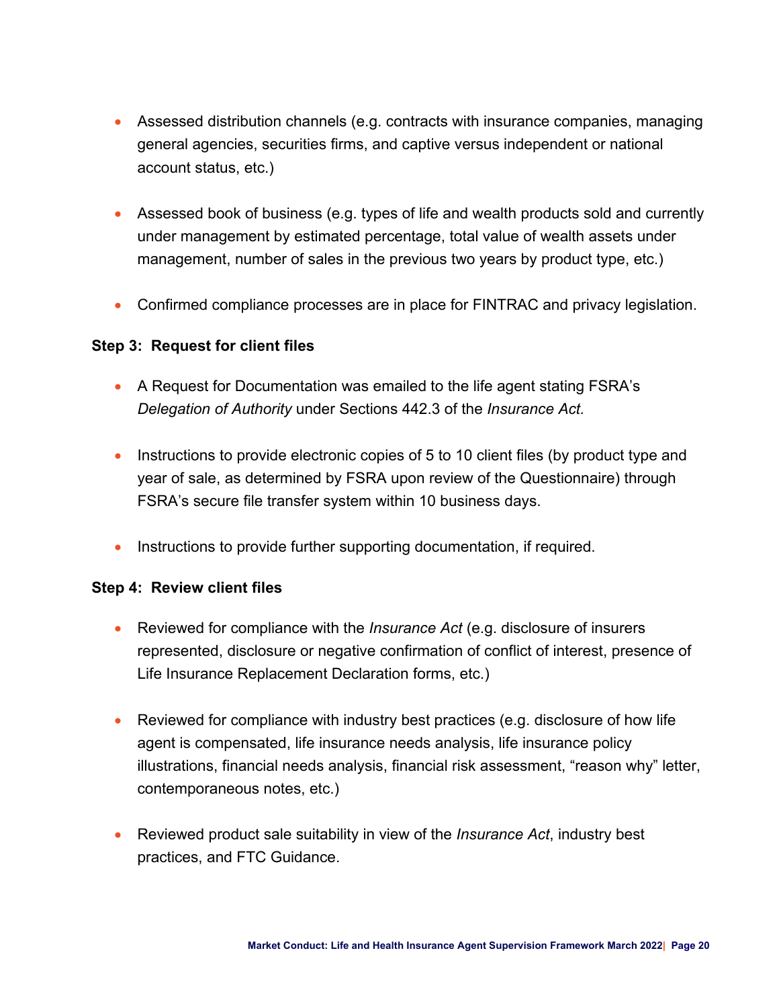- Assessed distribution channels (e.g. contracts with insurance companies, managing general agencies, securities firms, and captive versus independent or national account status, etc.)
- Assessed book of business (e.g. types of life and wealth products sold and currently under management by estimated percentage, total value of wealth assets under management, number of sales in the previous two years by product type, etc.)
- Confirmed compliance processes are in place for FINTRAC and privacy legislation.

### **Step 3: Request for client files**

- A Request for Documentation was emailed to the life agent stating FSRA's *Delegation of Authority* under Sections 442.3 of the *Insurance Act.*
- Instructions to provide electronic copies of 5 to 10 client files (by product type and year of sale, as determined by FSRA upon review of the Questionnaire) through FSRA's secure file transfer system within 10 business days.
- Instructions to provide further supporting documentation, if required.

### **Step 4: Review client files**

- Reviewed for compliance with the *Insurance Act* (e.g. disclosure of insurers represented, disclosure or negative confirmation of conflict of interest, presence of Life Insurance Replacement Declaration forms, etc.)
- Reviewed for compliance with industry best practices (e.g. disclosure of how life agent is compensated, life insurance needs analysis, life insurance policy illustrations, financial needs analysis, financial risk assessment, "reason why" letter, contemporaneous notes, etc.)
- Reviewed product sale suitability in view of the *Insurance Act*, industry best practices, and FTC Guidance.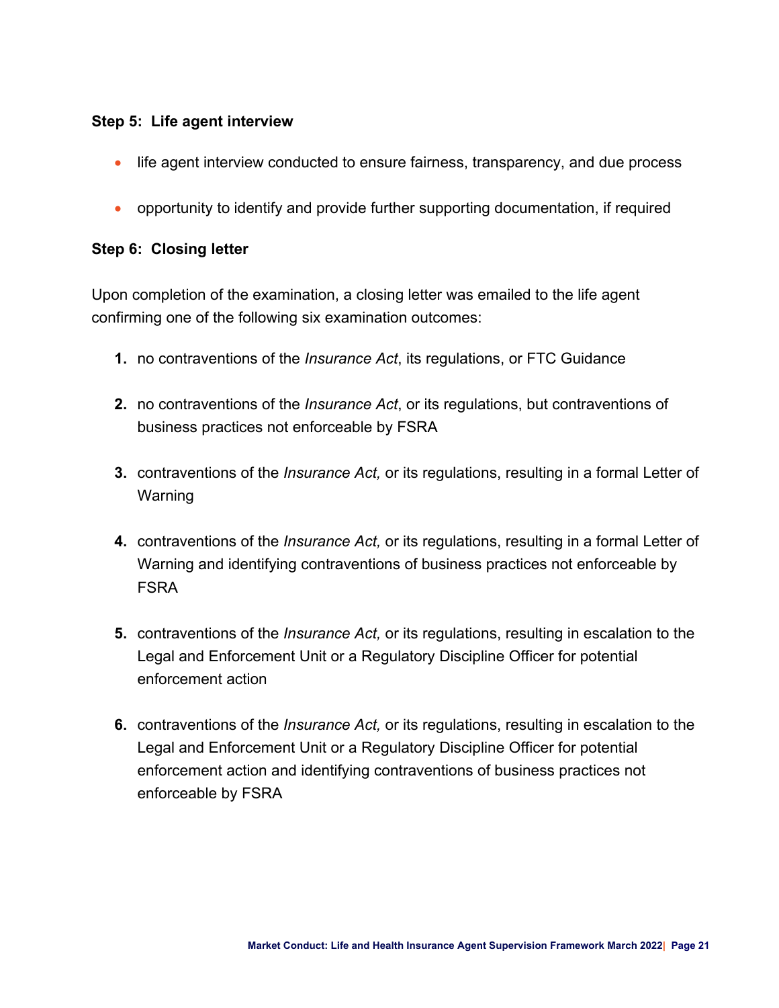### **Step 5: Life agent interview**

- life agent interview conducted to ensure fairness, transparency, and due process
- opportunity to identify and provide further supporting documentation, if required

### **Step 6: Closing letter**

Upon completion of the examination, a closing letter was emailed to the life agent confirming one of the following six examination outcomes:

- **1.** no contraventions of the *Insurance Act*, its regulations, or FTC Guidance
- **2.** no contraventions of the *Insurance Act*, or its regulations, but contraventions of business practices not enforceable by FSRA
- **3.** contraventions of the *Insurance Act,* or its regulations, resulting in a formal Letter of Warning
- **4.** contraventions of the *Insurance Act,* or its regulations, resulting in a formal Letter of Warning and identifying contraventions of business practices not enforceable by FSRA
- **5.** contraventions of the *Insurance Act,* or its regulations, resulting in escalation to the Legal and Enforcement Unit or a Regulatory Discipline Officer for potential enforcement action
- **6.** contraventions of the *Insurance Act,* or its regulations, resulting in escalation to the Legal and Enforcement Unit or a Regulatory Discipline Officer for potential enforcement action and identifying contraventions of business practices not enforceable by FSRA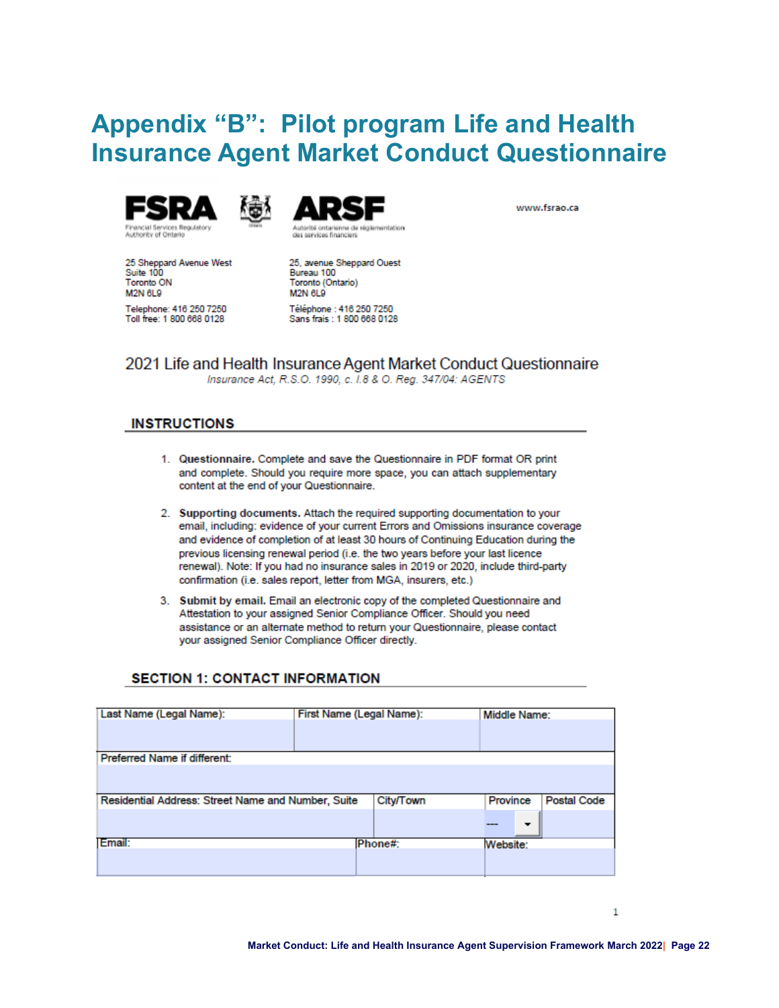# <span id="page-21-0"></span>**Appendix "B": Pilot program Life and Health Insurance Agent Market Conduct Questionnaire**







www.fsrao.ca

25 Sheppard Avenue West<br>Suite 100 **Toronto ON** M2N 6L9 Telephone: 416 250 7250 Toll free: 1 800 668 0128

25, avenue Sheppard Ouest Bureau 100 Toronto (Ontario) M2N 6L9 Téléphone : 416 250 7250 Sans frais: 1 800 668 0128

2021 Life and Health Insurance Agent Market Conduct Questionnaire

Insurance Act, R.S.O. 1990, c. I.8 & O. Reg. 347/04: AGENTS

#### **INSTRUCTIONS**

- 1. Questionnaire. Complete and save the Questionnaire in PDF format OR print and complete. Should you require more space, you can attach supplementary content at the end of your Questionnaire.
- 2. Supporting documents. Attach the required supporting documentation to your email, including: evidence of your current Errors and Omissions insurance coverage and evidence of completion of at least 30 hours of Continuing Education during the previous licensing renewal period (i.e. the two years before your last licence renewal). Note: If you had no insurance sales in 2019 or 2020, include third-party confirmation (i.e. sales report, letter from MGA, insurers, etc.)
- 3. Submit by email. Email an electronic copy of the completed Questionnaire and Attestation to your assigned Senior Compliance Officer. Should you need assistance or an alternate method to return your Questionnaire, please contact your assigned Senior Compliance Officer directly.

#### **SECTION 1: CONTACT INFORMATION**

| Last Name (Legal Name):                            | First Name (Legal Name):<br>Middle Name: |           |          |                    |
|----------------------------------------------------|------------------------------------------|-----------|----------|--------------------|
|                                                    |                                          |           |          |                    |
| Preferred Name if different:                       |                                          |           |          |                    |
|                                                    |                                          |           |          |                    |
| Residential Address: Street Name and Number, Suite |                                          | City/Town | Province | <b>Postal Code</b> |
|                                                    |                                          |           | ▼        |                    |
| Email:                                             |                                          | Phone#:   | Website: |                    |
|                                                    |                                          |           |          |                    |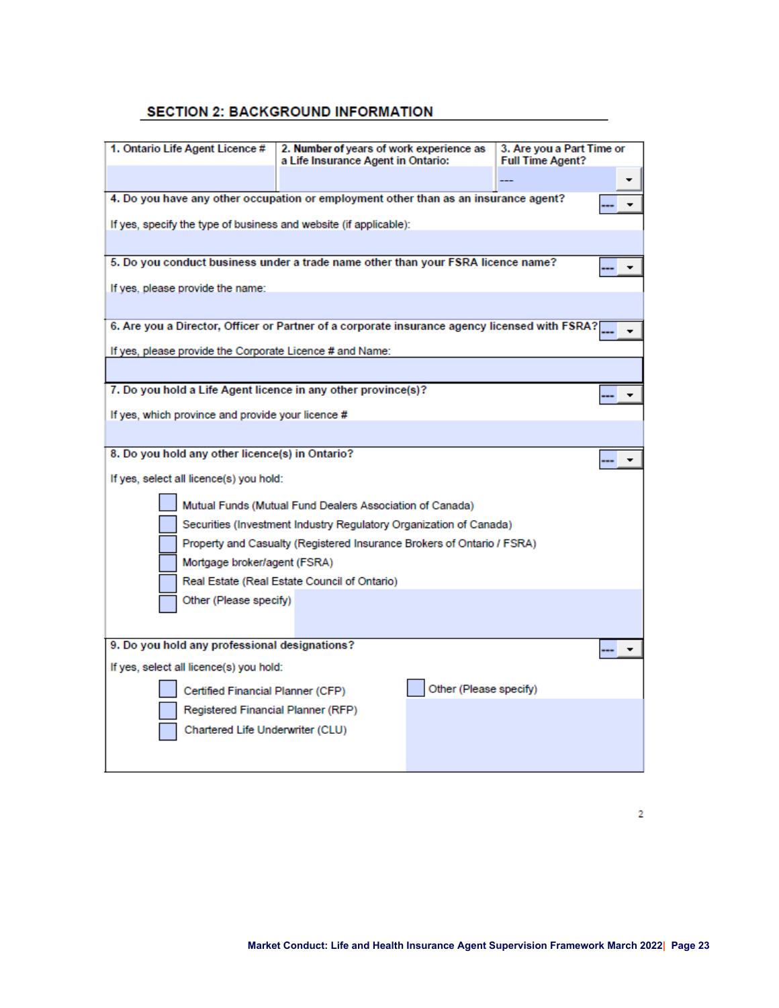#### **SECTION 2: BACKGROUND INFORMATION**

| 1. Ontario Life Agent Licence #                                                               | 2. Number of years of work experience as<br>a Life Insurance Agent in Ontario: |                        | 3. Are you a Part Time or<br><b>Full Time Agent?</b> |  |  |  |  |
|-----------------------------------------------------------------------------------------------|--------------------------------------------------------------------------------|------------------------|------------------------------------------------------|--|--|--|--|
|                                                                                               |                                                                                |                        |                                                      |  |  |  |  |
| 4. Do you have any other occupation or employment other than as an insurance agent?           |                                                                                |                        |                                                      |  |  |  |  |
| If yes, specify the type of business and website (if applicable):                             |                                                                                |                        |                                                      |  |  |  |  |
|                                                                                               |                                                                                |                        |                                                      |  |  |  |  |
| 5. Do you conduct business under a trade name other than your FSRA licence name?              |                                                                                |                        |                                                      |  |  |  |  |
| If yes, please provide the name:                                                              |                                                                                |                        |                                                      |  |  |  |  |
|                                                                                               |                                                                                |                        |                                                      |  |  |  |  |
| 6. Are you a Director, Officer or Partner of a corporate insurance agency licensed with FSRA? |                                                                                |                        |                                                      |  |  |  |  |
| If yes, please provide the Corporate Licence # and Name:                                      |                                                                                |                        |                                                      |  |  |  |  |
|                                                                                               |                                                                                |                        |                                                      |  |  |  |  |
| 7. Do you hold a Life Agent licence in any other province(s)?                                 |                                                                                |                        |                                                      |  |  |  |  |
| If yes, which province and provide your licence #                                             |                                                                                |                        |                                                      |  |  |  |  |
|                                                                                               |                                                                                |                        |                                                      |  |  |  |  |
| 8. Do you hold any other licence(s) in Ontario?                                               |                                                                                |                        |                                                      |  |  |  |  |
| If yes, select all licence(s) you hold:                                                       |                                                                                |                        |                                                      |  |  |  |  |
|                                                                                               | Mutual Funds (Mutual Fund Dealers Association of Canada)                       |                        |                                                      |  |  |  |  |
| Securities (Investment Industry Regulatory Organization of Canada)                            |                                                                                |                        |                                                      |  |  |  |  |
| Property and Casualty (Registered Insurance Brokers of Ontario / FSRA)                        |                                                                                |                        |                                                      |  |  |  |  |
| Mortgage broker/agent (FSRA)                                                                  |                                                                                |                        |                                                      |  |  |  |  |
|                                                                                               | Real Estate (Real Estate Council of Ontario)                                   |                        |                                                      |  |  |  |  |
| Other (Please specify)                                                                        |                                                                                |                        |                                                      |  |  |  |  |
|                                                                                               |                                                                                |                        |                                                      |  |  |  |  |
| 9. Do you hold any professional designations?                                                 |                                                                                |                        |                                                      |  |  |  |  |
| If yes, select all licence(s) you hold:                                                       |                                                                                |                        |                                                      |  |  |  |  |
| Certified Financial Planner (CFP)                                                             |                                                                                | Other (Please specify) |                                                      |  |  |  |  |
| Registered Financial Planner (RFP)                                                            |                                                                                |                        |                                                      |  |  |  |  |
| Chartered Life Underwriter (CLU)                                                              |                                                                                |                        |                                                      |  |  |  |  |
|                                                                                               |                                                                                |                        |                                                      |  |  |  |  |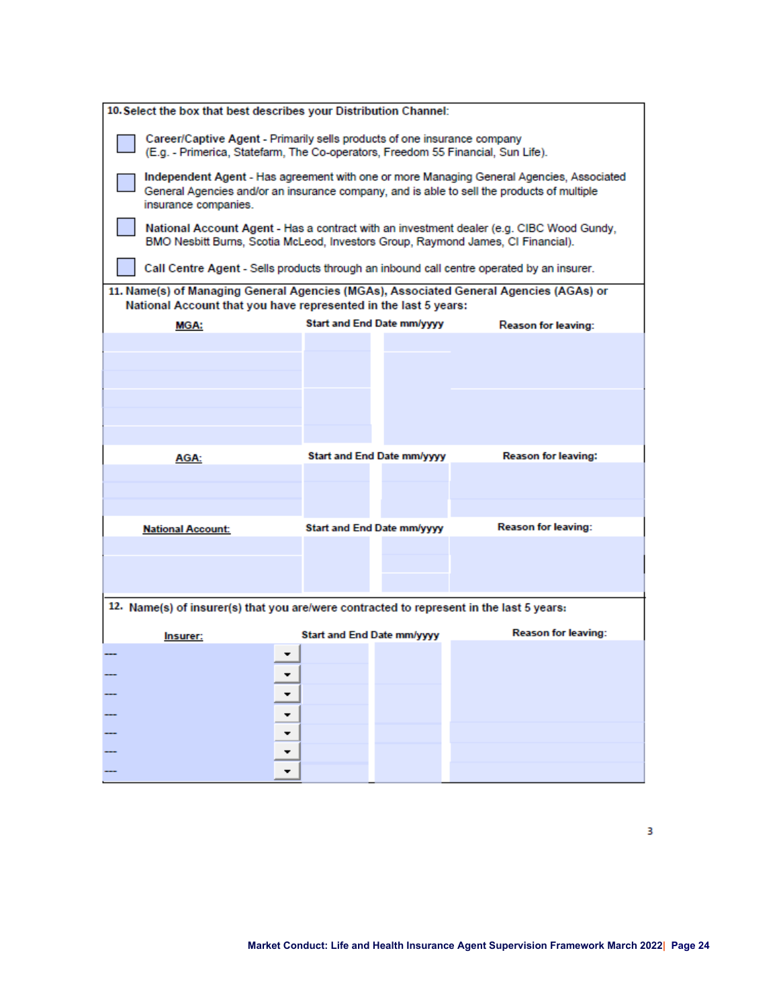| 10. Select the box that best describes your Distribution Channel:                                                                                                                                              |  |                                   |                                   |                                                                                           |
|----------------------------------------------------------------------------------------------------------------------------------------------------------------------------------------------------------------|--|-----------------------------------|-----------------------------------|-------------------------------------------------------------------------------------------|
| Career/Captive Agent - Primarily sells products of one insurance company<br>(E.g. - Primerica, Statefarm, The Co-operators, Freedom 55 Financial, Sun Life).                                                   |  |                                   |                                   |                                                                                           |
| Independent Agent - Has agreement with one or more Managing General Agencies, Associated<br>General Agencies and/or an insurance company, and is able to sell the products of multiple<br>insurance companies. |  |                                   |                                   |                                                                                           |
| National Account Agent - Has a contract with an investment dealer (e.g. CIBC Wood Gundy,<br>BMO Nesbitt Burns, Scotia McLeod, Investors Group, Raymond James, CI Financial).                                   |  |                                   |                                   |                                                                                           |
|                                                                                                                                                                                                                |  |                                   |                                   | Call Centre Agent - Sells products through an inbound call centre operated by an insurer. |
| 11. Name(s) of Managing General Agencies (MGAs), Associated General Agencies (AGAs) or<br>National Account that you have represented in the last 5 years:                                                      |  |                                   |                                   |                                                                                           |
| MGA:                                                                                                                                                                                                           |  |                                   | Start and End Date mm/yyyy        | Reason for leaving:                                                                       |
|                                                                                                                                                                                                                |  |                                   |                                   |                                                                                           |
|                                                                                                                                                                                                                |  |                                   |                                   |                                                                                           |
|                                                                                                                                                                                                                |  |                                   |                                   |                                                                                           |
|                                                                                                                                                                                                                |  |                                   |                                   |                                                                                           |
|                                                                                                                                                                                                                |  |                                   |                                   |                                                                                           |
|                                                                                                                                                                                                                |  |                                   |                                   |                                                                                           |
| AGA:                                                                                                                                                                                                           |  |                                   | <b>Start and End Date mm/yyyy</b> | <b>Reason for leaving:</b>                                                                |
|                                                                                                                                                                                                                |  |                                   |                                   |                                                                                           |
|                                                                                                                                                                                                                |  |                                   |                                   |                                                                                           |
|                                                                                                                                                                                                                |  |                                   |                                   |                                                                                           |
| <b>National Account:</b>                                                                                                                                                                                       |  |                                   | Start and End Date mm/yyyy        | <b>Reason for leaving:</b>                                                                |
|                                                                                                                                                                                                                |  |                                   |                                   |                                                                                           |
|                                                                                                                                                                                                                |  |                                   |                                   |                                                                                           |
|                                                                                                                                                                                                                |  |                                   |                                   |                                                                                           |
| 12. Name(s) of insurer(s) that you are/were contracted to represent in the last 5 years:                                                                                                                       |  |                                   |                                   |                                                                                           |
|                                                                                                                                                                                                                |  |                                   |                                   |                                                                                           |
| Insurer:                                                                                                                                                                                                       |  | <b>Start and End Date mm/yyyy</b> |                                   | <b>Reason for leaving:</b>                                                                |
|                                                                                                                                                                                                                |  |                                   |                                   |                                                                                           |
|                                                                                                                                                                                                                |  |                                   |                                   |                                                                                           |
|                                                                                                                                                                                                                |  |                                   |                                   |                                                                                           |
|                                                                                                                                                                                                                |  |                                   |                                   |                                                                                           |
|                                                                                                                                                                                                                |  |                                   |                                   |                                                                                           |
|                                                                                                                                                                                                                |  |                                   |                                   |                                                                                           |
|                                                                                                                                                                                                                |  |                                   |                                   |                                                                                           |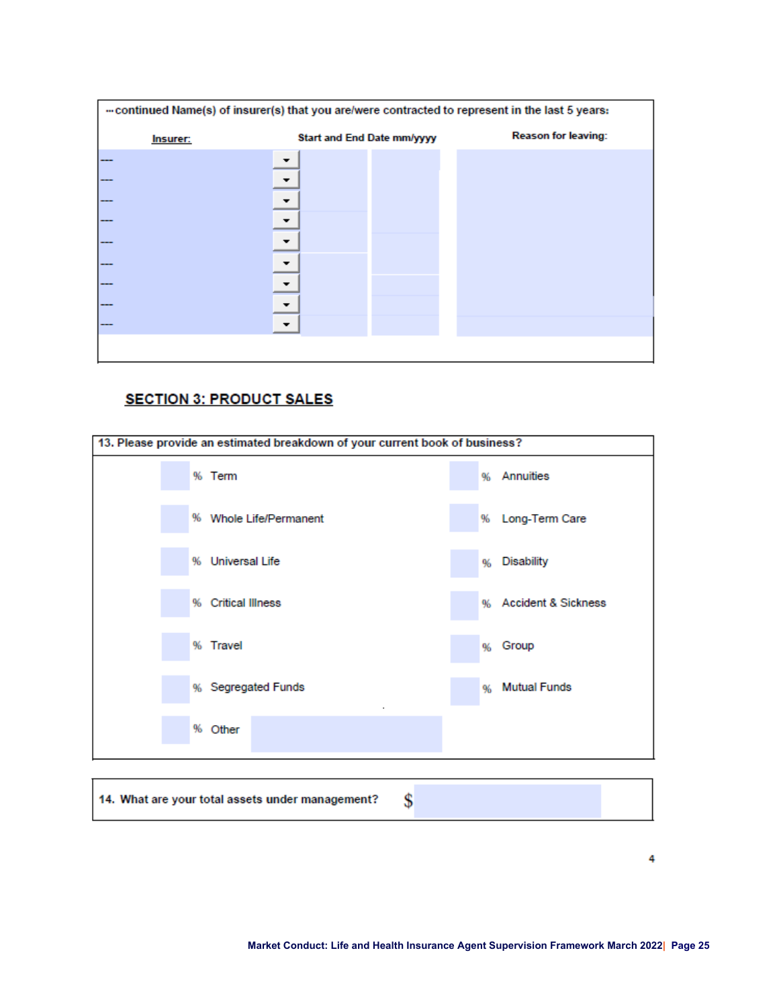| continued Name(s) of insurer(s) that you are/were contracted to represent in the last 5 years: |                            |  |                            |  |
|------------------------------------------------------------------------------------------------|----------------------------|--|----------------------------|--|
| Insurer:                                                                                       | Start and End Date mm/yyyy |  | <b>Reason for leaving:</b> |  |
|                                                                                                |                            |  |                            |  |
|                                                                                                |                            |  |                            |  |
|                                                                                                |                            |  |                            |  |
|                                                                                                |                            |  |                            |  |
|                                                                                                |                            |  |                            |  |
|                                                                                                |                            |  |                            |  |
|                                                                                                |                            |  |                            |  |
|                                                                                                |                            |  |                            |  |
|                                                                                                |                            |  |                            |  |
|                                                                                                |                            |  |                            |  |

### **SECTION 3: PRODUCT SALES**

| 13. Please provide an estimated breakdown of your current book of business? |                         |  |  |  |  |  |
|-----------------------------------------------------------------------------|-------------------------|--|--|--|--|--|
| % Term                                                                      | % Annuities             |  |  |  |  |  |
| % Whole Life/Permanent                                                      | % Long-Term Care        |  |  |  |  |  |
| % Universal Life                                                            | <b>Disability</b><br>96 |  |  |  |  |  |
| % Critical Illness                                                          | % Accident & Sickness   |  |  |  |  |  |
| % Travel                                                                    | Group<br>96             |  |  |  |  |  |
| % Segregated Funds                                                          | % Mutual Funds          |  |  |  |  |  |
| % Other                                                                     |                         |  |  |  |  |  |
|                                                                             |                         |  |  |  |  |  |

14. What are your total assets under management? \$

4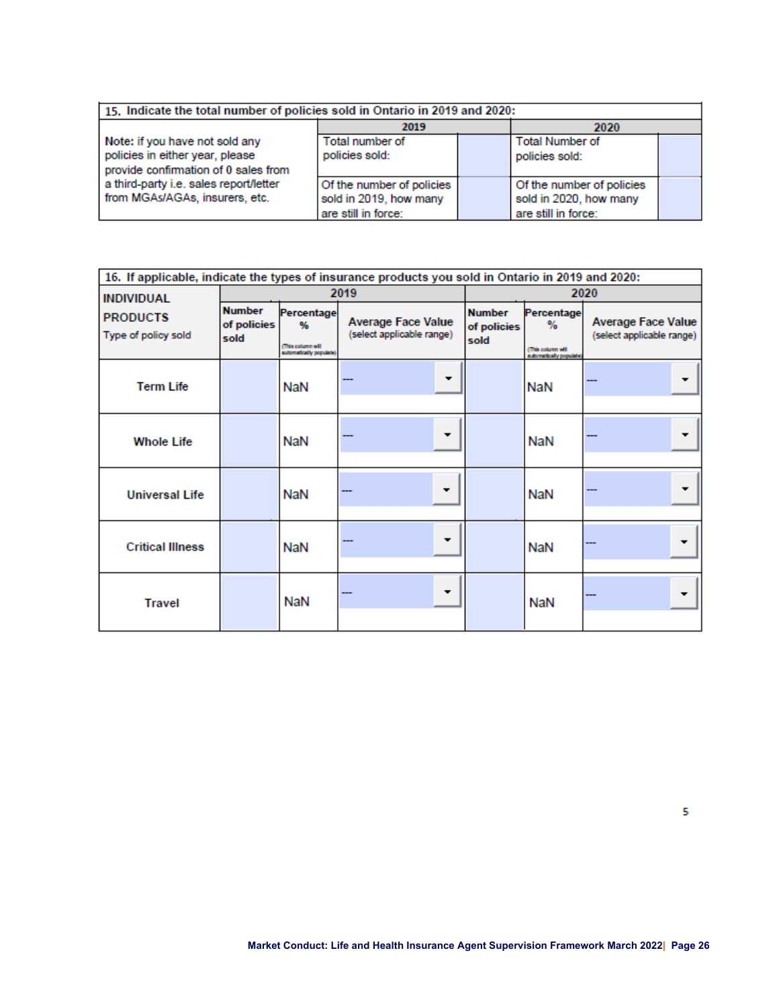| 15. Indicate the total number of policies sold in Ontario in 2019 and 2020: |                           |  |                           |  |
|-----------------------------------------------------------------------------|---------------------------|--|---------------------------|--|
|                                                                             | 2019                      |  | 2020                      |  |
| Note: if you have not sold any                                              | Total number of           |  | <b>Total Number of</b>    |  |
| policies in either year, please                                             | policies sold:            |  | policies sold:            |  |
| provide confirmation of 0 sales from                                        |                           |  |                           |  |
| a third-party i.e. sales report/letter                                      | Of the number of policies |  | Of the number of policies |  |
| from MGAs/AGAs, insurers, etc.                                              | sold in 2019, how many    |  | sold in 2020, how many    |  |
|                                                                             | are still in force:       |  | are still in force:       |  |

| 16. If applicable, indicate the types of insurance products you sold in Ontario in 2019 and 2020: |                                      |                                                                |                                                        |                                      |                                                                |                                                        |  |
|---------------------------------------------------------------------------------------------------|--------------------------------------|----------------------------------------------------------------|--------------------------------------------------------|--------------------------------------|----------------------------------------------------------------|--------------------------------------------------------|--|
| <b>INDIVIDUAL</b>                                                                                 |                                      |                                                                | 2019                                                   |                                      | 2020                                                           |                                                        |  |
| <b>PRODUCTS</b><br>Type of policy sold                                                            | <b>Number</b><br>of policies<br>sold | Percentage<br>%<br>This column will<br>sutomatically populate) | <b>Average Face Value</b><br>(select applicable range) | <b>Number</b><br>of policies<br>sold | Percentage<br>%<br>This column will<br>automatically populate) | <b>Average Face Value</b><br>(select applicable range) |  |
| <b>Term Life</b>                                                                                  |                                      | <b>NaN</b>                                                     |                                                        |                                      | NaN                                                            |                                                        |  |
| <b>Whole Life</b>                                                                                 |                                      | NaN                                                            |                                                        |                                      | <b>NaN</b>                                                     |                                                        |  |
| <b>Universal Life</b>                                                                             |                                      | <b>NaN</b>                                                     |                                                        |                                      | <b>NaN</b>                                                     |                                                        |  |
| <b>Critical Illness</b>                                                                           |                                      | <b>NaN</b>                                                     |                                                        |                                      | NaN                                                            |                                                        |  |
| <b>Travel</b>                                                                                     |                                      | <b>NaN</b>                                                     |                                                        |                                      | <b>NaN</b>                                                     |                                                        |  |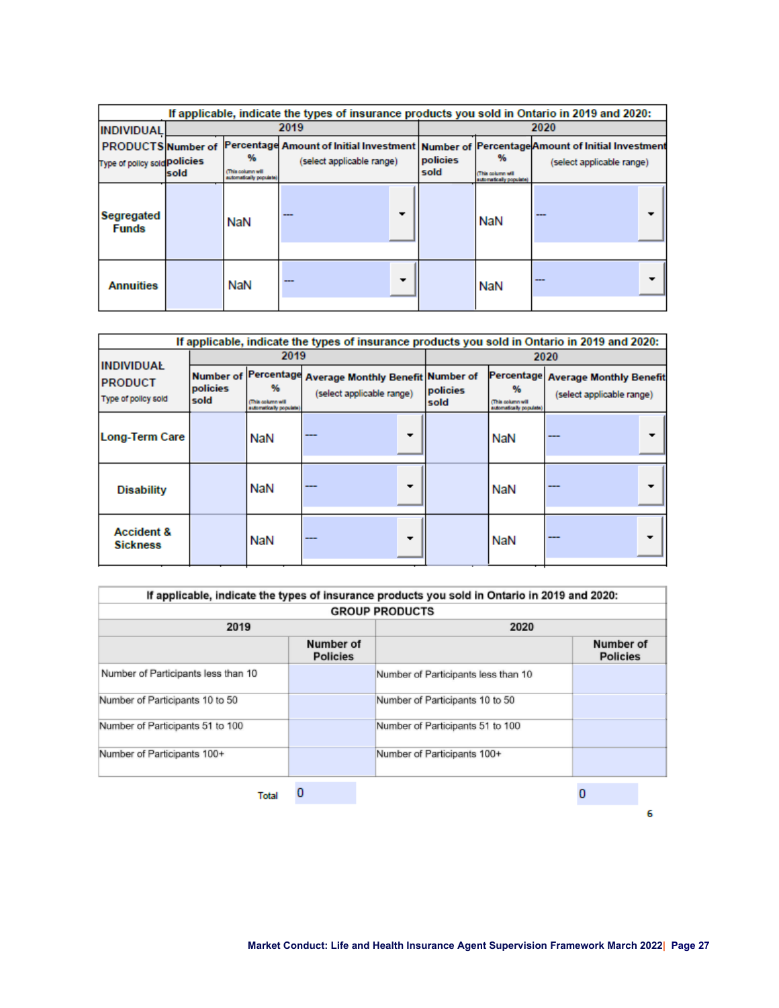|                                                                  | If applicable, indicate the types of insurance products you sold in Ontario in 2019 and 2020: |                                                   |                                                                                                                           |   |                  |                                                  |                           |  |
|------------------------------------------------------------------|-----------------------------------------------------------------------------------------------|---------------------------------------------------|---------------------------------------------------------------------------------------------------------------------------|---|------------------|--------------------------------------------------|---------------------------|--|
| <b>INDIVIDUAL</b>                                                |                                                                                               |                                                   | 2019                                                                                                                      |   |                  | 2020                                             |                           |  |
| <b>PRODUCTS Number of</b><br>Type of policy sold <b>Policies</b> | sold                                                                                          | ₩<br>(This column will<br>automatically populate) | Percentage Amount of Initial Investment   Number of  Percentage Amount of Initial Investment<br>(select applicable range) |   | policies<br>sold | ₩<br>This column will<br>automatically populate) | (select applicable range) |  |
| Segregated<br><b>Funds</b>                                       |                                                                                               | NaN                                               | $- - -$                                                                                                                   |   |                  | <b>NaN</b>                                       | ---                       |  |
| <b>Annuities</b>                                                 |                                                                                               | <b>NaN</b>                                        |                                                                                                                           | ▼ |                  | NaN                                              | $- - -$                   |  |

|                                                            | If applicable, indicate the types of insurance products you sold in Ontario in 2019 and 2020: |                                                                |                                                                       |  |                  |                                                  |                                                                 |
|------------------------------------------------------------|-----------------------------------------------------------------------------------------------|----------------------------------------------------------------|-----------------------------------------------------------------------|--|------------------|--------------------------------------------------|-----------------------------------------------------------------|
|                                                            |                                                                                               | 2019                                                           |                                                                       |  | 2020             |                                                  |                                                                 |
| <b>INDIVIDUAL</b><br><b>PRODUCT</b><br>Type of policy sold | <b>Number of</b><br>policies<br>sold                                                          | Percentage<br>₩<br>This column will<br>automatically populate) | <b>Average Monthly Benefit Number of</b><br>(select applicable range) |  | policies<br>sold | %<br>This column will<br>automatically populate) | Percentage Average Monthly Benefit<br>(select applicable range) |
| <b>Long-Term Care</b>                                      |                                                                                               | NaN                                                            |                                                                       |  |                  | NaN                                              |                                                                 |
| <b>Disability</b>                                          |                                                                                               | NaN                                                            | ---                                                                   |  |                  | NaN                                              |                                                                 |
| <b>Accident &amp;</b><br><b>Sickness</b>                   |                                                                                               | NaN                                                            | ---                                                                   |  |                  | NaN                                              |                                                                 |

|                                     |                              | If applicable, indicate the types of insurance products you sold in Ontario in 2019 and 2020: |                              |   |  |  |
|-------------------------------------|------------------------------|-----------------------------------------------------------------------------------------------|------------------------------|---|--|--|
|                                     | <b>GROUP PRODUCTS</b>        |                                                                                               |                              |   |  |  |
| 2019                                |                              | 2020                                                                                          |                              |   |  |  |
|                                     | Number of<br><b>Policies</b> |                                                                                               | Number of<br><b>Policies</b> |   |  |  |
| Number of Participants less than 10 |                              | Number of Participants less than 10                                                           |                              |   |  |  |
| Number of Participants 10 to 50     |                              | Number of Participants 10 to 50                                                               |                              |   |  |  |
| Number of Participants 51 to 100    |                              | Number of Participants 51 to 100                                                              |                              |   |  |  |
| Number of Participants 100+         |                              | Number of Participants 100+                                                                   |                              |   |  |  |
| <b>Total</b>                        | 0                            |                                                                                               |                              |   |  |  |
|                                     |                              |                                                                                               |                              | 6 |  |  |

**Market Conduct: Life and Health Insurance Agent Supervision Framework March 2022| Page 27**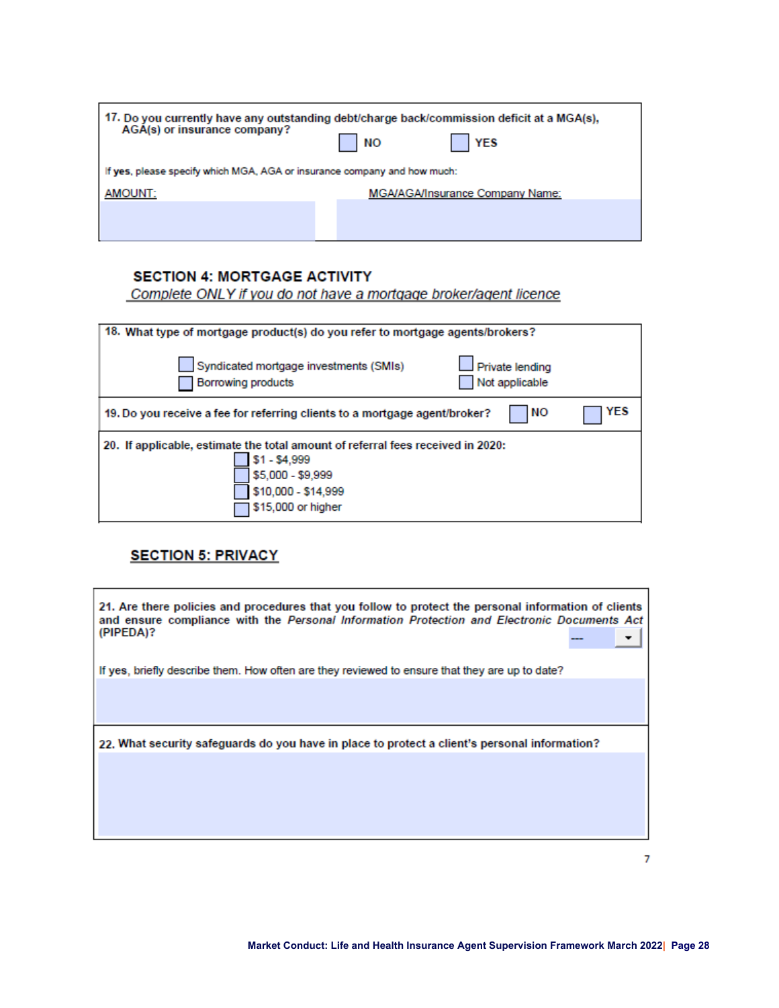| AGA(s) or insurance company?                                             | 17. Do you currently have any outstanding debt/charge back/commission deficit at a MGA(s),<br><b>YES</b><br><b>NO</b> |
|--------------------------------------------------------------------------|-----------------------------------------------------------------------------------------------------------------------|
| If yes, please specify which MGA, AGA or insurance company and how much: |                                                                                                                       |
| AMOUNT:                                                                  | <b>MGA/AGA/Insurance Company Name:</b>                                                                                |
|                                                                          |                                                                                                                       |
|                                                                          |                                                                                                                       |

### **SECTION 4: MORTGAGE ACTIVITY**

Complete ONLY if you do not have a mortgage broker/agent licence

| 18. What type of mortgage product(s) do you refer to mortgage agents/brokers?                                                                                      |     |
|--------------------------------------------------------------------------------------------------------------------------------------------------------------------|-----|
| Syndicated mortgage investments (SMIs)<br>Private lending<br>Not applicable<br>Borrowing products                                                                  |     |
| NΟ<br>19. Do you receive a fee for referring clients to a mortgage agent/broker?                                                                                   | YES |
| 20. If applicable, estimate the total amount of referral fees received in 2020:<br>\$1 - \$4,999<br>\$5,000 - \$9,999<br>\$10,000 - \$14,999<br>\$15,000 or higher |     |

### **SECTION 5: PRIVACY**

| 21. Are there policies and procedures that you follow to protect the personal information of clients<br>and ensure compliance with the Personal Information Protection and Electronic Documents Act<br>(PIPEDA)? |  |
|------------------------------------------------------------------------------------------------------------------------------------------------------------------------------------------------------------------|--|
| If yes, briefly describe them. How often are they reviewed to ensure that they are up to date?                                                                                                                   |  |
|                                                                                                                                                                                                                  |  |
| 22. What security safeguards do you have in place to protect a client's personal information?                                                                                                                    |  |
|                                                                                                                                                                                                                  |  |
|                                                                                                                                                                                                                  |  |
|                                                                                                                                                                                                                  |  |

 $\overline{7}$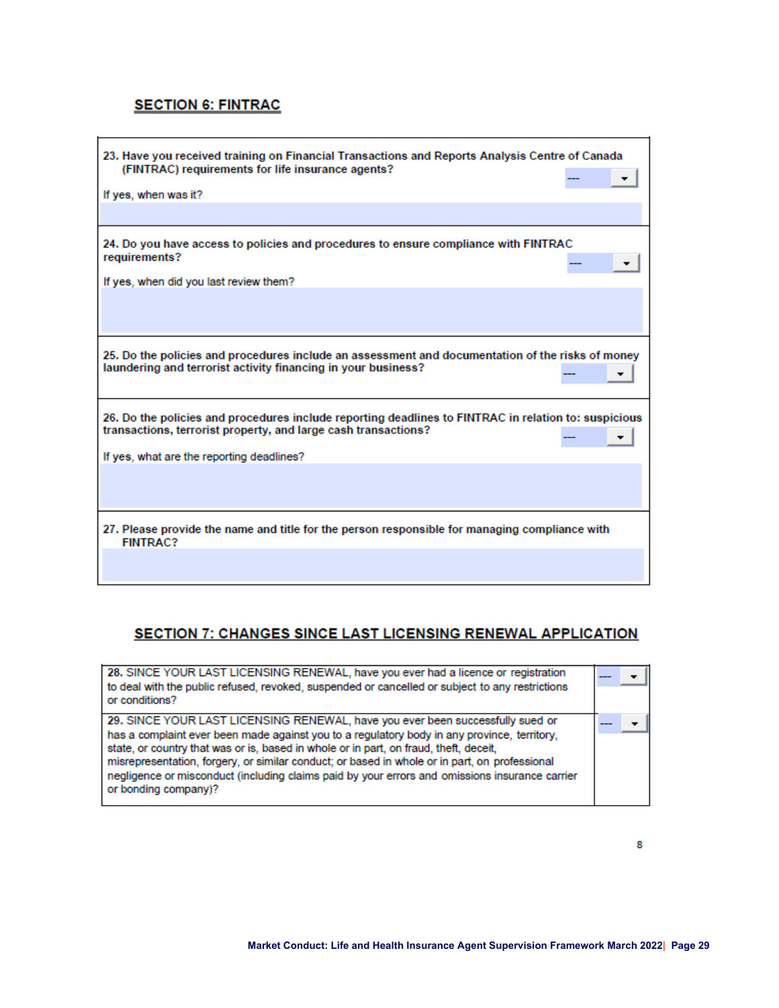### **SECTION 6: FINTRAC**

| 23. Have you received training on Financial Transactions and Reports Analysis Centre of Canada<br>(FINTRAC) requirements for life insurance agents?                    |
|------------------------------------------------------------------------------------------------------------------------------------------------------------------------|
| If yes, when was it?                                                                                                                                                   |
| 24. Do you have access to policies and procedures to ensure compliance with FINTRAC<br>requirements?<br>If yes, when did you last review them?                         |
|                                                                                                                                                                        |
| 25. Do the policies and procedures include an assessment and documentation of the risks of money<br>laundering and terrorist activity financing in your business?      |
| 26. Do the policies and procedures include reporting deadlines to FINTRAC in relation to: suspicious<br>transactions, terrorist property, and large cash transactions? |
| If yes, what are the reporting deadlines?                                                                                                                              |
|                                                                                                                                                                        |
| 27. Please provide the name and title for the person responsible for managing compliance with<br><b>FINTRAC?</b>                                                       |
|                                                                                                                                                                        |

#### **SECTION 7: CHANGES SINCE LAST LICENSING RENEWAL APPLICATION**

| 28. SINCE YOUR LAST LICENSING RENEWAL, have you ever had a licence or registration<br>to deal with the public refused, revoked, suspended or cancelled or subject to any restrictions<br>or conditions?                                                                                                                                                                                                                                                                                           |  |
|---------------------------------------------------------------------------------------------------------------------------------------------------------------------------------------------------------------------------------------------------------------------------------------------------------------------------------------------------------------------------------------------------------------------------------------------------------------------------------------------------|--|
| 29. SINCE YOUR LAST LICENSING RENEWAL, have you ever been successfully sued or<br>has a complaint ever been made against you to a regulatory body in any province, territory,<br>state, or country that was or is, based in whole or in part, on fraud, theft, deceit,<br>misrepresentation, forgery, or similar conduct; or based in whole or in part, on professional<br>negligence or misconduct (including claims paid by your errors and omissions insurance carrier<br>or bonding company)? |  |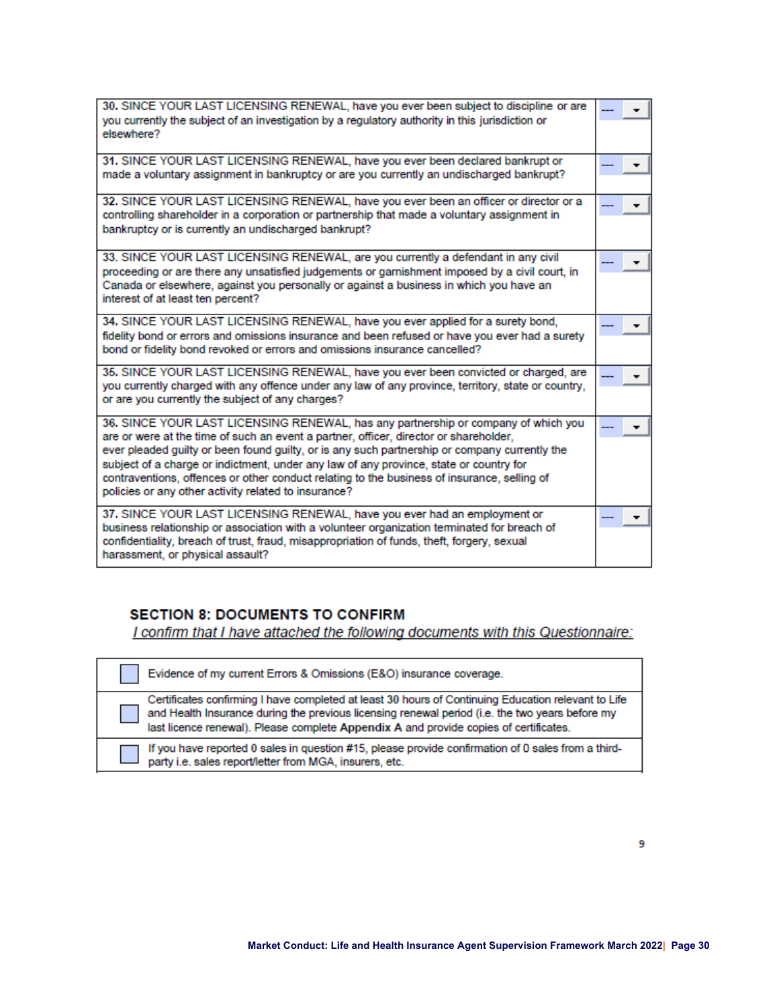| 30. SINCE YOUR LAST LICENSING RENEWAL, have you ever been subject to discipline or are<br>you currently the subject of an investigation by a regulatory authority in this jurisdiction or<br>elsewhere?                                                                                                                                                                                                                                                                                                                       |  |
|-------------------------------------------------------------------------------------------------------------------------------------------------------------------------------------------------------------------------------------------------------------------------------------------------------------------------------------------------------------------------------------------------------------------------------------------------------------------------------------------------------------------------------|--|
| 31. SINCE YOUR LAST LICENSING RENEWAL, have you ever been declared bankrupt or<br>made a voluntary assignment in bankruptcy or are you currently an undischarged bankrupt?                                                                                                                                                                                                                                                                                                                                                    |  |
| 32. SINCE YOUR LAST LICENSING RENEWAL, have you ever been an officer or director or a<br>controlling shareholder in a corporation or partnership that made a voluntary assignment in<br>bankruptcy or is currently an undischarged bankrupt?                                                                                                                                                                                                                                                                                  |  |
| 33. SINCE YOUR LAST LICENSING RENEWAL, are you currently a defendant in any civil<br>proceeding or are there any unsatisfied judgements or garnishment imposed by a civil court, in<br>Canada or elsewhere, against you personally or against a business in which you have an<br>interest of at least ten percent?                                                                                                                                                                                                            |  |
| 34. SINCE YOUR LAST LICENSING RENEWAL, have you ever applied for a surety bond,<br>fidelity bond or errors and omissions insurance and been refused or have you ever had a surety<br>bond or fidelity bond revoked or errors and omissions insurance cancelled?                                                                                                                                                                                                                                                               |  |
| 35. SINCE YOUR LAST LICENSING RENEWAL, have you ever been convicted or charged, are<br>you currently charged with any offence under any law of any province, territory, state or country,<br>or are you currently the subject of any charges?                                                                                                                                                                                                                                                                                 |  |
| 36. SINCE YOUR LAST LICENSING RENEWAL, has any partnership or company of which you<br>are or were at the time of such an event a partner, officer, director or shareholder,<br>ever pleaded guilty or been found guilty, or is any such partnership or company currently the<br>subject of a charge or indictment, under any law of any province, state or country for<br>contraventions, offences or other conduct relating to the business of insurance, selling of<br>policies or any other activity related to insurance? |  |
| 37. SINCE YOUR LAST LICENSING RENEWAL, have you ever had an employment or<br>business relationship or association with a volunteer organization terminated for breach of<br>confidentiality, breach of trust, fraud, misappropriation of funds, theft, forgery, sexual<br>harassment, or physical assault?                                                                                                                                                                                                                    |  |

#### **SECTION 8: DOCUMENTS TO CONFIRM**

I confirm that I have attached the following documents with this Questionnaire:

| Evidence of my current Errors & Omissions (E&O) insurance coverage.                                                                                                                                                                                                                             |
|-------------------------------------------------------------------------------------------------------------------------------------------------------------------------------------------------------------------------------------------------------------------------------------------------|
| Certificates confirming I have completed at least 30 hours of Continuing Education relevant to Life<br>and Health Insurance during the previous licensing renewal period (i.e. the two years before my<br>last licence renewal). Please complete Appendix A and provide copies of certificates. |
| If you have reported 0 sales in question #15, please provide confirmation of 0 sales from a third-<br>party i.e. sales report/letter from MGA, insurers, etc.                                                                                                                                   |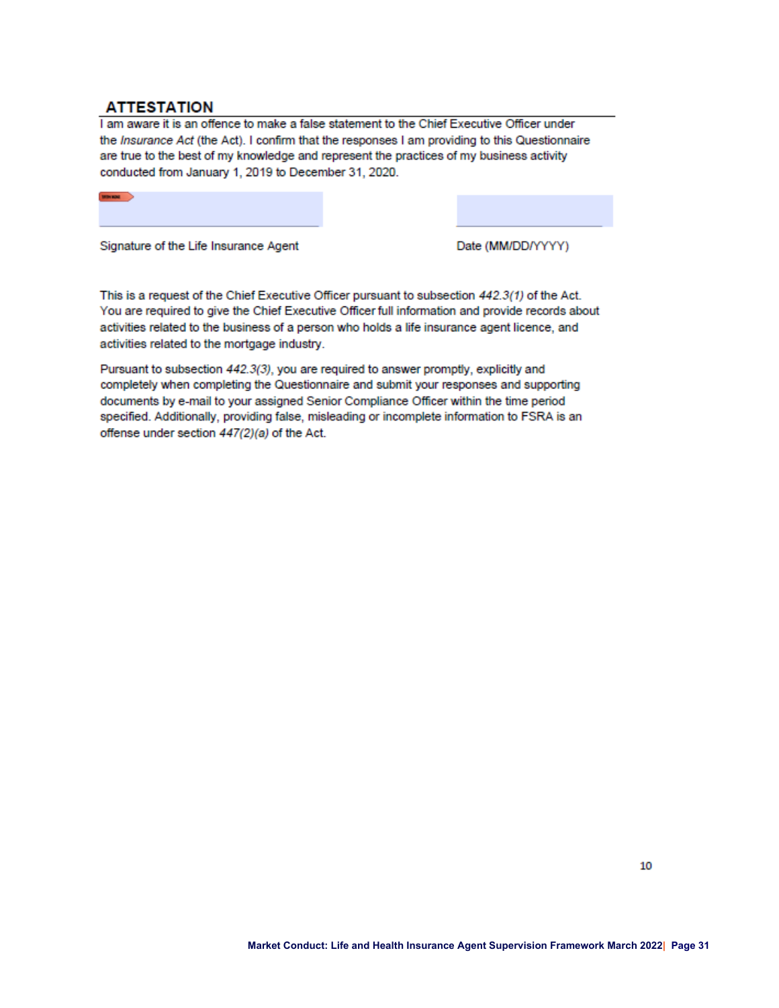#### **ATTESTATION**

 $\blacksquare$ 

I am aware it is an offence to make a false statement to the Chief Executive Officer under the Insurance Act (the Act). I confirm that the responses I am providing to this Questionnaire are true to the best of my knowledge and represent the practices of my business activity conducted from January 1, 2019 to December 31, 2020.

Signature of the Life Insurance Agent

Date (MM/DD/YYYY)

This is a request of the Chief Executive Officer pursuant to subsection 442.3(1) of the Act. You are required to give the Chief Executive Officer full information and provide records about activities related to the business of a person who holds a life insurance agent licence, and activities related to the mortgage industry.

Pursuant to subsection 442.3(3), you are required to answer promptly, explicitly and completely when completing the Questionnaire and submit your responses and supporting documents by e-mail to your assigned Senior Compliance Officer within the time period specified. Additionally, providing false, misleading or incomplete information to FSRA is an offense under section 447(2)(a) of the Act.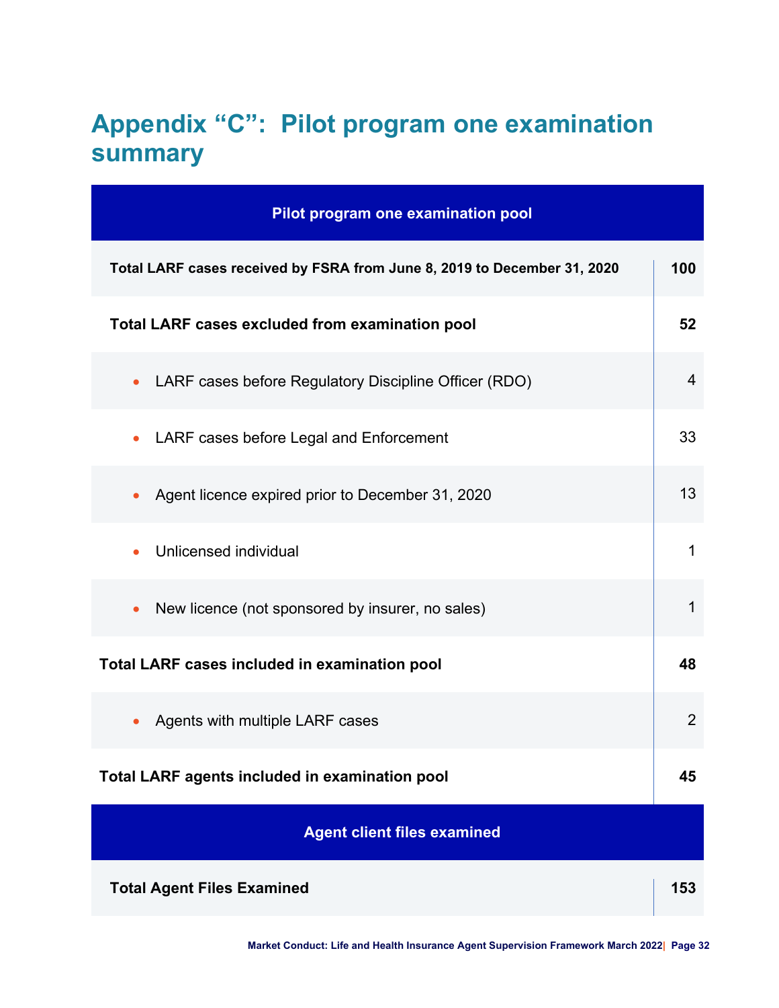# <span id="page-31-0"></span>**Appendix "C": Pilot program one examination summary**

| Pilot program one examination pool                                       |                |
|--------------------------------------------------------------------------|----------------|
| Total LARF cases received by FSRA from June 8, 2019 to December 31, 2020 | 100            |
| <b>Total LARF cases excluded from examination pool</b>                   | 52             |
| LARF cases before Regulatory Discipline Officer (RDO)<br>$\bullet$       | $\overline{4}$ |
| LARF cases before Legal and Enforcement<br>$\bullet$                     | 33             |
| Agent licence expired prior to December 31, 2020<br>$\bullet$            | 13             |
| Unlicensed individual                                                    | 1              |
| New licence (not sponsored by insurer, no sales)                         | 1              |
| Total LARF cases included in examination pool                            | 48             |
| Agents with multiple LARF cases                                          | $\overline{2}$ |
| <b>Total LARF agents included in examination pool</b>                    | 45             |
| <b>Agent client files examined</b>                                       |                |
| <b>Total Agent Files Examined</b>                                        | 153            |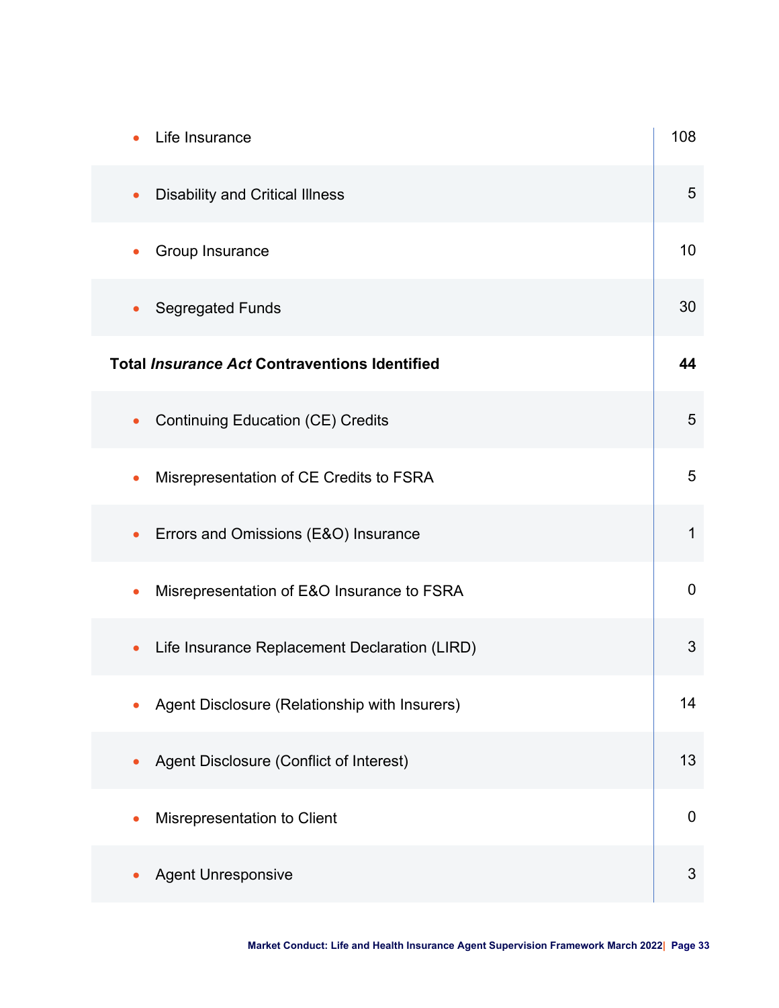| Life Insurance                                             | 108            |
|------------------------------------------------------------|----------------|
| <b>Disability and Critical Illness</b><br>$\bullet$        | 5              |
| Group Insurance<br>$\bullet$                               | 10             |
| <b>Segregated Funds</b><br>$\bullet$                       | 30             |
| <b>Total Insurance Act Contraventions Identified</b>       | 44             |
| <b>Continuing Education (CE) Credits</b><br>$\bullet$      | 5              |
| Misrepresentation of CE Credits to FSRA<br>$\bullet$       | 5              |
| Errors and Omissions (E&O) Insurance<br>$\bullet$          | $\mathbf 1$    |
| Misrepresentation of E&O Insurance to FSRA                 | $\overline{0}$ |
| Life Insurance Replacement Declaration (LIRD)<br>$\bullet$ | 3              |
| Agent Disclosure (Relationship with Insurers)              | 14             |
| Agent Disclosure (Conflict of Interest)<br>$\bullet$       | 13             |
| Misrepresentation to Client                                | $\pmb{0}$      |
| <b>Agent Unresponsive</b>                                  | 3              |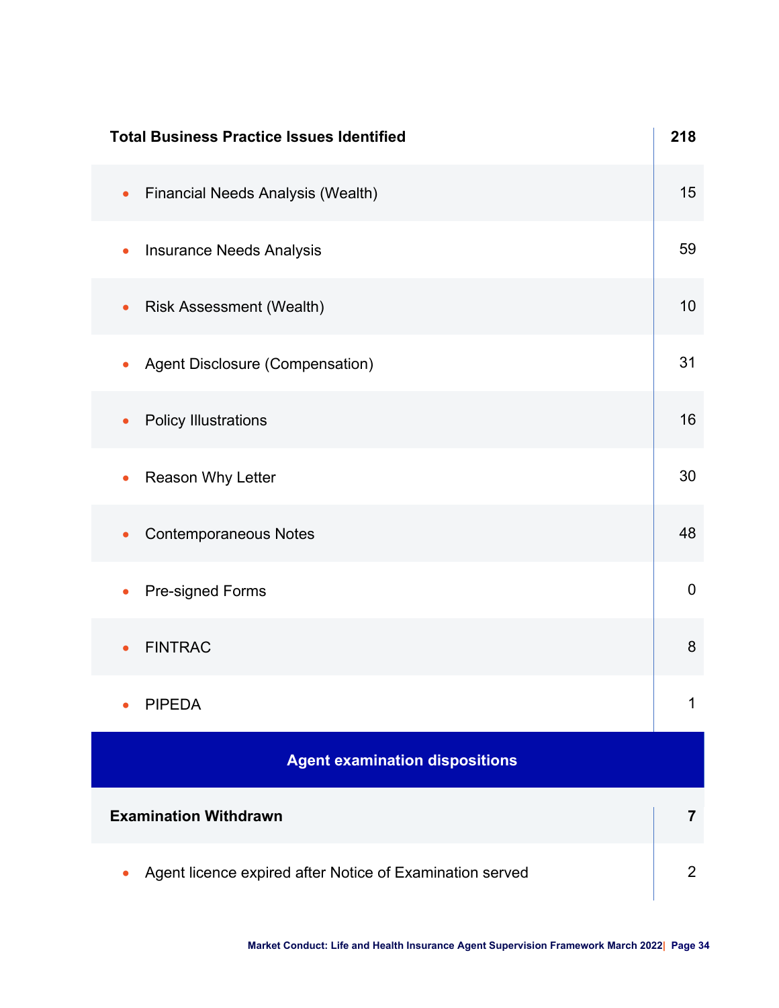| <b>Total Business Practice Issues Identified</b>                      | 218            |
|-----------------------------------------------------------------------|----------------|
| <b>Financial Needs Analysis (Wealth)</b><br>$\bullet$                 | 15             |
| <b>Insurance Needs Analysis</b><br>$\bullet$                          | 59             |
| <b>Risk Assessment (Wealth)</b><br>$\bullet$                          | 10             |
| Agent Disclosure (Compensation)<br>$\bullet$                          | 31             |
| <b>Policy Illustrations</b><br>$\bullet$                              | 16             |
| Reason Why Letter<br>$\bullet$                                        | 30             |
| <b>Contemporaneous Notes</b><br>$\bullet$                             | 48             |
| Pre-signed Forms                                                      | $\mathbf 0$    |
| <b>FINTRAC</b>                                                        | 8              |
| <b>PIPEDA</b>                                                         | 1              |
| <b>Agent examination dispositions</b>                                 |                |
| <b>Examination Withdrawn</b>                                          | $\overline{7}$ |
| Agent licence expired after Notice of Examination served<br>$\bullet$ | $\overline{2}$ |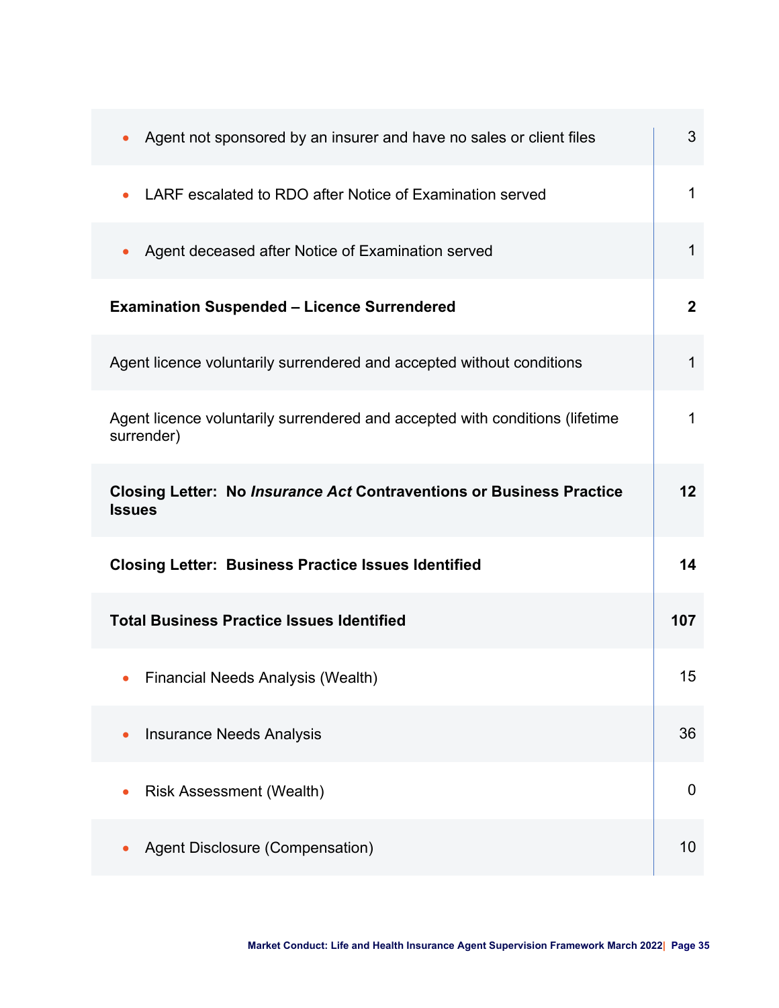| Agent not sponsored by an insurer and have no sales or client files<br>$\bullet$             | 3               |
|----------------------------------------------------------------------------------------------|-----------------|
| LARF escalated to RDO after Notice of Examination served                                     | 1               |
| Agent deceased after Notice of Examination served<br>$\bullet$                               | 1               |
| <b>Examination Suspended - Licence Surrendered</b>                                           | $\mathbf{2}$    |
| Agent licence voluntarily surrendered and accepted without conditions                        | 1               |
| Agent licence voluntarily surrendered and accepted with conditions (lifetime<br>surrender)   | 1               |
| <b>Closing Letter: No Insurance Act Contraventions or Business Practice</b><br><b>Issues</b> | 12 <sub>2</sub> |
| <b>Closing Letter: Business Practice Issues Identified</b>                                   | 14              |
| <b>Total Business Practice Issues Identified</b>                                             | 107             |
| <b>Financial Needs Analysis (Wealth)</b><br>$\bullet$                                        | 15              |
| <b>Insurance Needs Analysis</b>                                                              | 36              |
| <b>Risk Assessment (Wealth)</b>                                                              | $\mathbf 0$     |
| Agent Disclosure (Compensation)                                                              | 10              |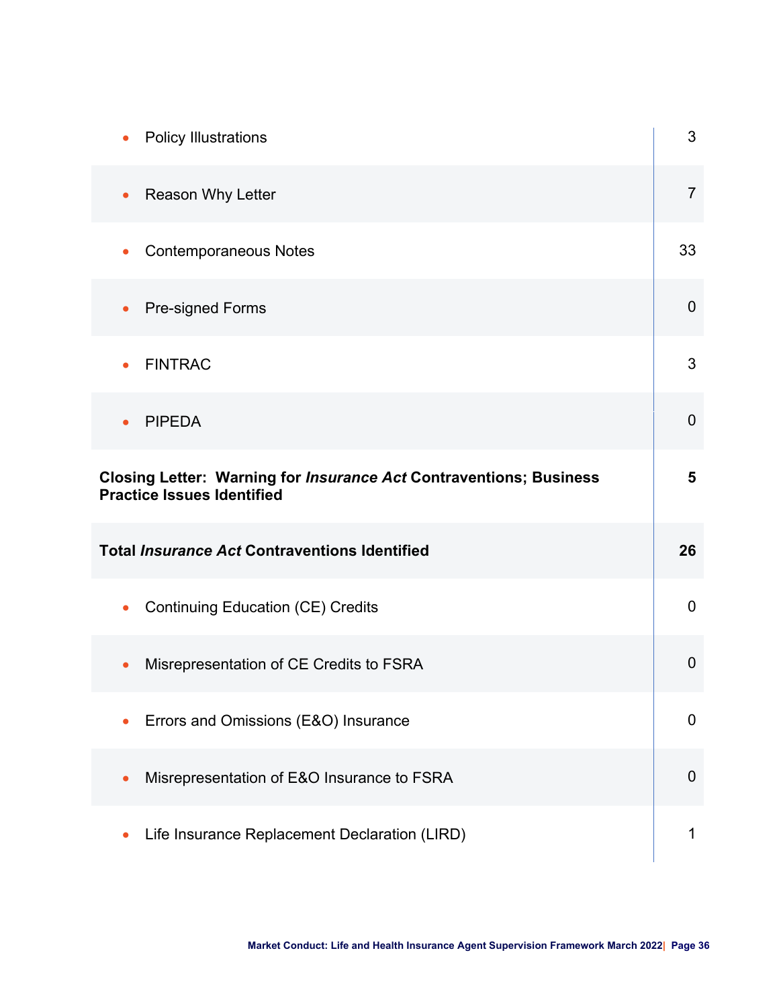| <b>Policy Illustrations</b>                                                                                    | 3              |
|----------------------------------------------------------------------------------------------------------------|----------------|
| Reason Why Letter<br>$\bullet$                                                                                 | $\overline{7}$ |
| <b>Contemporaneous Notes</b>                                                                                   | 33             |
| <b>Pre-signed Forms</b><br>$\bullet$                                                                           | $\overline{0}$ |
| <b>FINTRAC</b>                                                                                                 | 3              |
| <b>PIPEDA</b>                                                                                                  | $\mathbf 0$    |
| <b>Closing Letter: Warning for Insurance Act Contraventions; Business</b><br><b>Practice Issues Identified</b> | $5\phantom{1}$ |
| <b>Total Insurance Act Contraventions Identified</b>                                                           | 26             |
| <b>Continuing Education (CE) Credits</b>                                                                       | $\overline{0}$ |
| Misrepresentation of CE Credits to FSRA                                                                        | $\overline{0}$ |
| Errors and Omissions (E&O) Insurance                                                                           | $\mathbf 0$    |
| Misrepresentation of E&O Insurance to FSRA                                                                     | $\mathbf 0$    |
| Life Insurance Replacement Declaration (LIRD)                                                                  | 1              |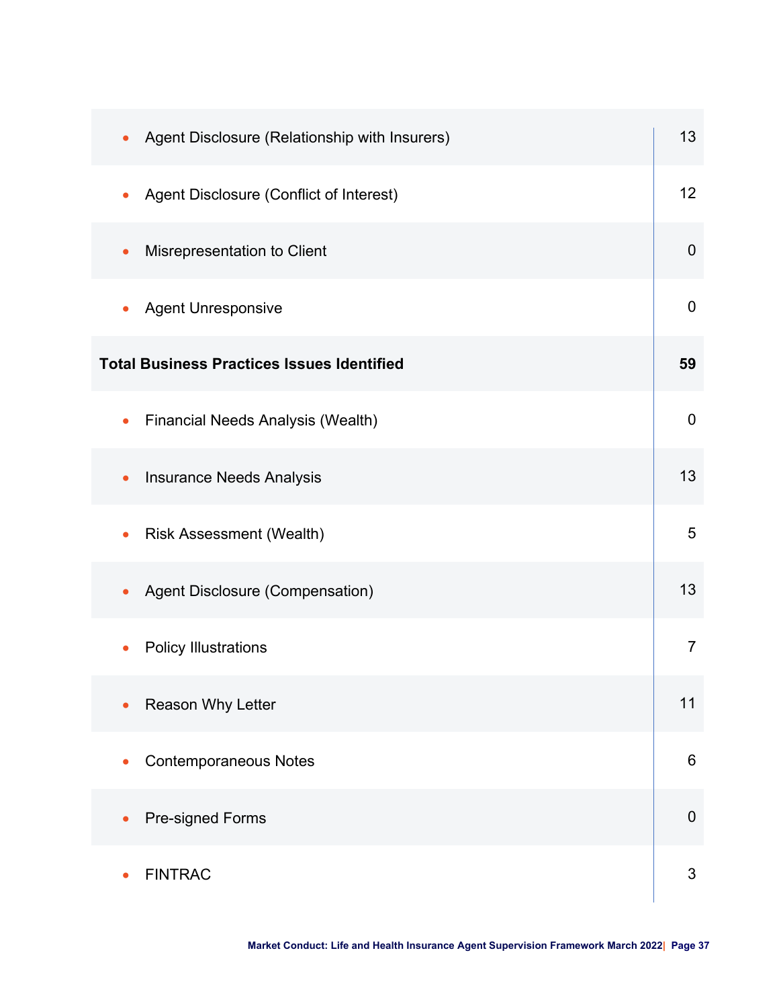| Agent Disclosure (Relationship with Insurers)<br>$\bullet$ | 13               |
|------------------------------------------------------------|------------------|
| Agent Disclosure (Conflict of Interest)<br>$\bullet$       | 12               |
| Misrepresentation to Client<br>$\bullet$                   | $\mathbf 0$      |
| <b>Agent Unresponsive</b><br>$\bullet$                     | $\boldsymbol{0}$ |
| <b>Total Business Practices Issues Identified</b>          | 59               |
| <b>Financial Needs Analysis (Wealth)</b><br>$\bullet$      | $\overline{0}$   |
| <b>Insurance Needs Analysis</b><br>$\bullet$               | 13               |
| <b>Risk Assessment (Wealth)</b>                            | 5                |
| Agent Disclosure (Compensation)                            | 13               |
| <b>Policy Illustrations</b>                                | $\overline{7}$   |
| Reason Why Letter                                          | 11               |
| <b>Contemporaneous Notes</b>                               | $6\phantom{1}$   |
| Pre-signed Forms                                           | $\mathbf 0$      |
| <b>FINTRAC</b>                                             | $\mathfrak{S}$   |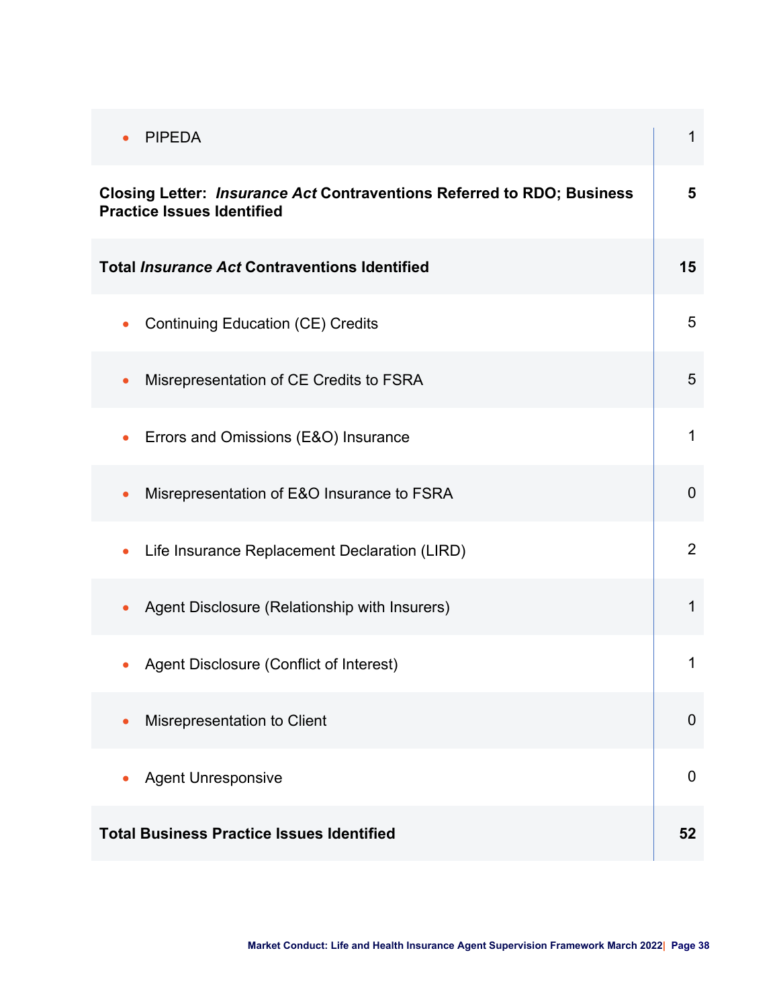| <b>PIPEDA</b><br>$\bullet$                                                                                  | $\mathbf{1}$   |
|-------------------------------------------------------------------------------------------------------------|----------------|
| Closing Letter: Insurance Act Contraventions Referred to RDO; Business<br><b>Practice Issues Identified</b> | 5              |
| <b>Total Insurance Act Contraventions Identified</b>                                                        | 15             |
| <b>Continuing Education (CE) Credits</b><br>$\bullet$                                                       | 5              |
| Misrepresentation of CE Credits to FSRA<br>$\bullet$                                                        | 5              |
| Errors and Omissions (E&O) Insurance<br>$\bullet$                                                           | $\mathbf{1}$   |
| Misrepresentation of E&O Insurance to FSRA<br>$\bullet$                                                     | $\overline{0}$ |
| Life Insurance Replacement Declaration (LIRD)<br>$\bullet$                                                  | 2              |
| Agent Disclosure (Relationship with Insurers)<br>$\bullet$                                                  | 1              |
| Agent Disclosure (Conflict of Interest)                                                                     | 1              |
| Misrepresentation to Client<br>$\bullet$                                                                    | $\overline{0}$ |
| <b>Agent Unresponsive</b>                                                                                   | $\mathbf 0$    |
| <b>Total Business Practice Issues Identified</b>                                                            | 52             |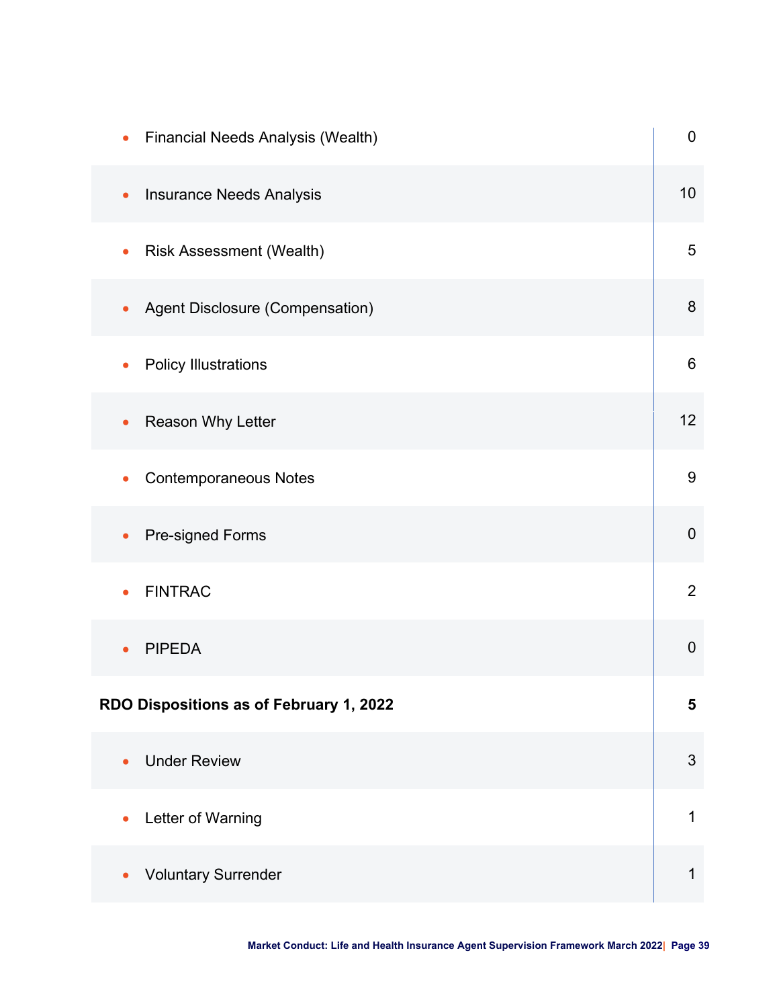| <b>Financial Needs Analysis (Wealth)</b><br>$\bullet$ | $\pmb{0}$        |
|-------------------------------------------------------|------------------|
| <b>Insurance Needs Analysis</b><br>$\bullet$          | 10 <sup>1</sup>  |
| <b>Risk Assessment (Wealth)</b><br>$\bullet$          | 5                |
| Agent Disclosure (Compensation)<br>$\bullet$          | $\boldsymbol{8}$ |
| <b>Policy Illustrations</b><br>$\bullet$              | $6\phantom{1}$   |
| Reason Why Letter<br>$\bullet$                        | 12               |
| <b>Contemporaneous Notes</b><br>$\bullet$             | $9\,$            |
| Pre-signed Forms                                      | $\boldsymbol{0}$ |
| <b>FINTRAC</b>                                        | $\overline{2}$   |
| <b>PIPEDA</b>                                         | $\boldsymbol{0}$ |
| RDO Dispositions as of February 1, 2022               | $5\phantom{1}$   |
| <b>Under Review</b><br>$\bullet$                      | $\mathfrak{S}$   |
| Letter of Warning                                     | 1                |
| <b>Voluntary Surrender</b>                            | 1                |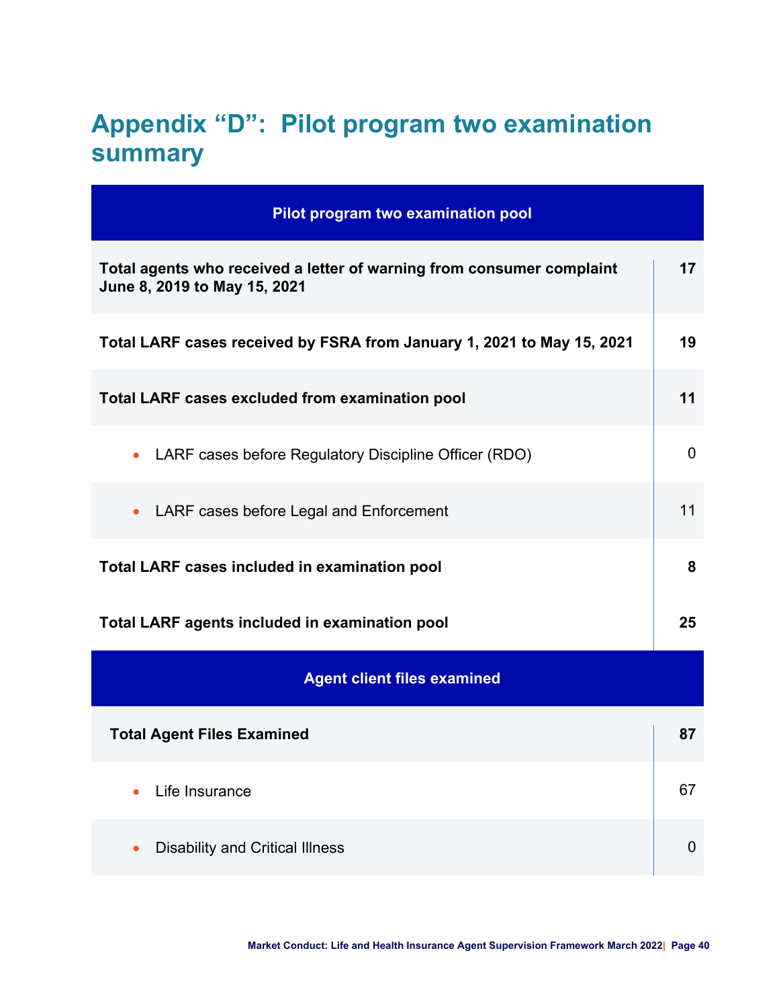# <span id="page-39-0"></span>**Appendix "D": Pilot program two examination summary**

| Pilot program two examination pool                                                                    |                |
|-------------------------------------------------------------------------------------------------------|----------------|
| Total agents who received a letter of warning from consumer complaint<br>June 8, 2019 to May 15, 2021 | 17             |
| Total LARF cases received by FSRA from January 1, 2021 to May 15, 2021                                | 19             |
| <b>Total LARF cases excluded from examination pool</b>                                                | 11             |
| LARF cases before Regulatory Discipline Officer (RDO)<br>$\bullet$                                    | $\mathbf 0$    |
| LARF cases before Legal and Enforcement<br>$\bullet$                                                  | 11             |
| <b>Total LARF cases included in examination pool</b>                                                  | 8              |
| <b>Total LARF agents included in examination pool</b>                                                 | 25             |
| <b>Agent client files examined</b>                                                                    |                |
| <b>Total Agent Files Examined</b>                                                                     | 87             |
| Life Insurance                                                                                        | 67             |
| <b>Disability and Critical Illness</b>                                                                | $\overline{0}$ |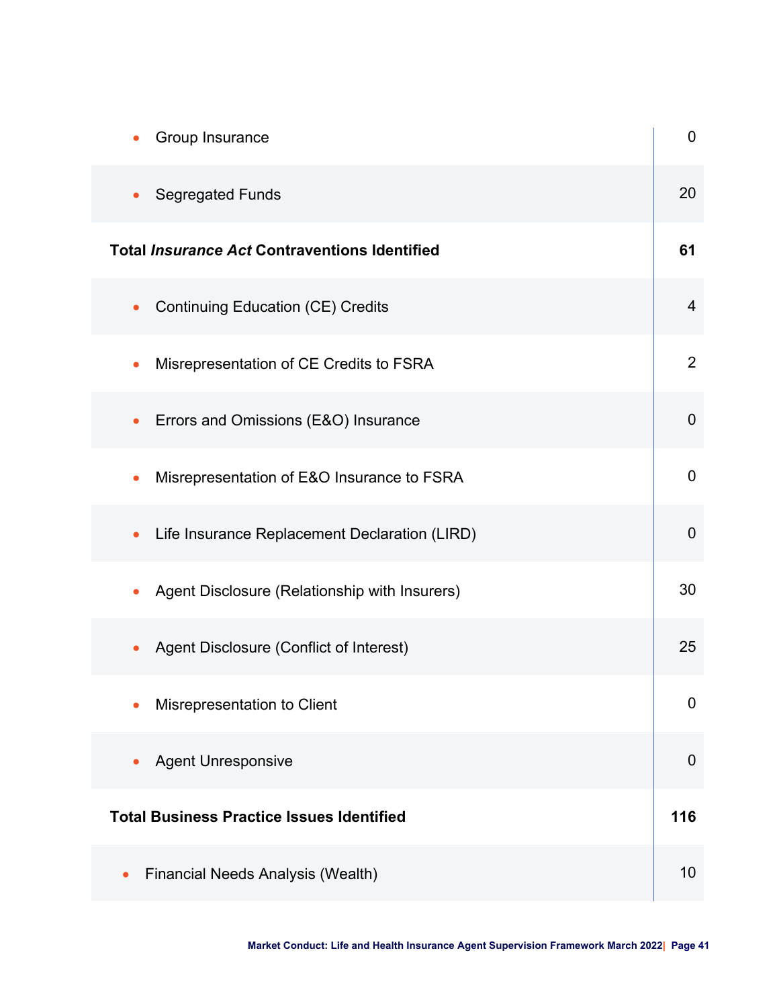| Group Insurance                                            | 0              |
|------------------------------------------------------------|----------------|
| <b>Segregated Funds</b>                                    | 20             |
| <b>Total Insurance Act Contraventions Identified</b>       | 61             |
| <b>Continuing Education (CE) Credits</b><br>$\bullet$      | $\overline{4}$ |
| Misrepresentation of CE Credits to FSRA                    | $\overline{2}$ |
| Errors and Omissions (E&O) Insurance<br>$\bullet$          | $\overline{0}$ |
| Misrepresentation of E&O Insurance to FSRA                 | 0              |
| Life Insurance Replacement Declaration (LIRD)<br>$\bullet$ | 0              |
| Agent Disclosure (Relationship with Insurers)              | 30             |
| Agent Disclosure (Conflict of Interest)                    | 25             |
| Misrepresentation to Client                                | 0              |
| <b>Agent Unresponsive</b>                                  | $\mathbf 0$    |
| <b>Total Business Practice Issues Identified</b>           | 116            |
| Financial Needs Analysis (Wealth)                          | 10             |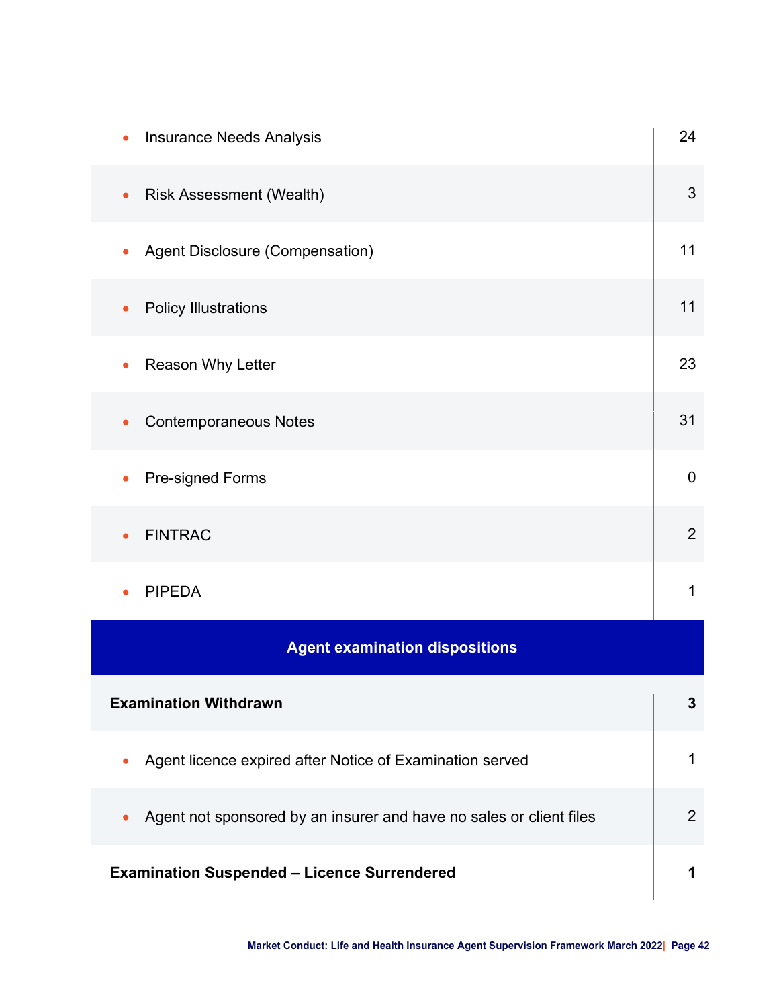| <b>Insurance Needs Analysis</b>                                                  | 24             |
|----------------------------------------------------------------------------------|----------------|
| <b>Risk Assessment (Wealth)</b><br>$\bullet$                                     | 3              |
| Agent Disclosure (Compensation)<br>$\bullet$                                     | 11             |
| <b>Policy Illustrations</b>                                                      | 11             |
| Reason Why Letter                                                                | 23             |
| <b>Contemporaneous Notes</b>                                                     | 31             |
| Pre-signed Forms                                                                 | $\mathbf 0$    |
| <b>FINTRAC</b>                                                                   | $\overline{2}$ |
| <b>PIPEDA</b>                                                                    | 1              |
| <b>Agent examination dispositions</b>                                            |                |
| <b>Examination Withdrawn</b>                                                     | 3              |
| Agent licence expired after Notice of Examination served                         | $\mathbf{1}$   |
| Agent not sponsored by an insurer and have no sales or client files<br>$\bullet$ | $\overline{2}$ |
| <b>Examination Suspended - Licence Surrendered</b>                               | 1              |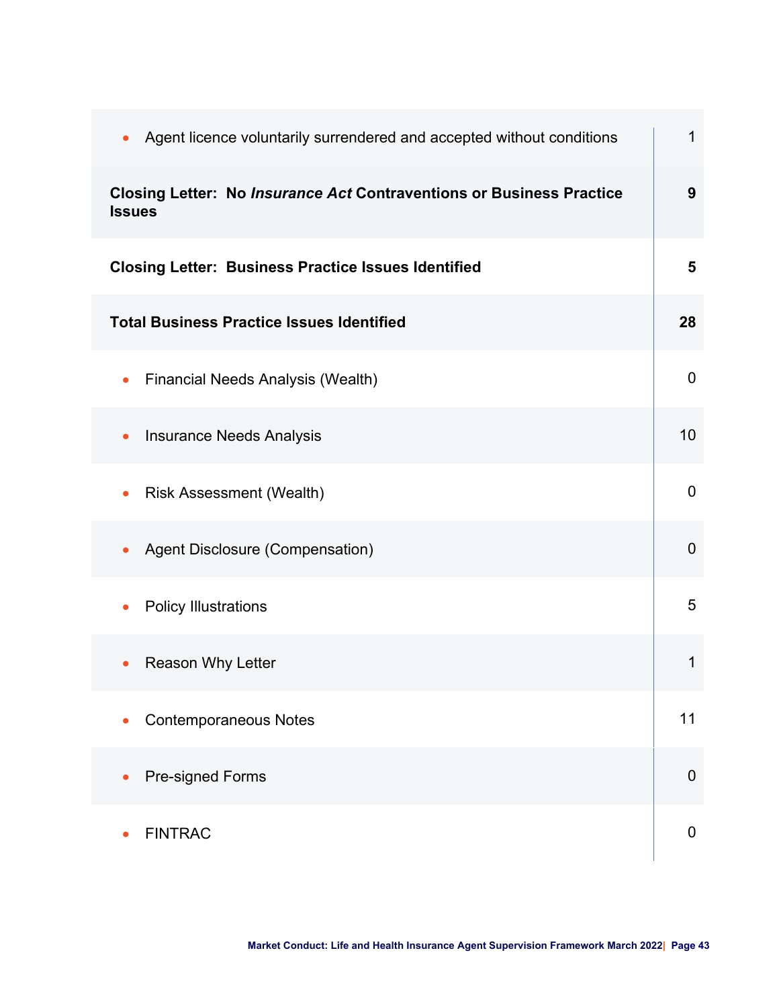| Agent licence voluntarily surrendered and accepted without conditions<br>$\bullet$           | $\mathbf{1}$     |
|----------------------------------------------------------------------------------------------|------------------|
| <b>Closing Letter: No Insurance Act Contraventions or Business Practice</b><br><b>Issues</b> | 9                |
| <b>Closing Letter: Business Practice Issues Identified</b>                                   | 5                |
| <b>Total Business Practice Issues Identified</b>                                             | 28               |
| <b>Financial Needs Analysis (Wealth)</b><br>$\bullet$                                        | $\mathbf 0$      |
| <b>Insurance Needs Analysis</b><br>$\bullet$                                                 | 10               |
| <b>Risk Assessment (Wealth)</b><br>$\bullet$                                                 | $\overline{0}$   |
| Agent Disclosure (Compensation)                                                              | $\overline{0}$   |
| <b>Policy Illustrations</b>                                                                  | 5                |
| <b>Reason Why Letter</b>                                                                     | 1                |
| <b>Contemporaneous Notes</b>                                                                 | 11               |
| Pre-signed Forms                                                                             | $\boldsymbol{0}$ |
| <b>FINTRAC</b>                                                                               | $\mathbf 0$      |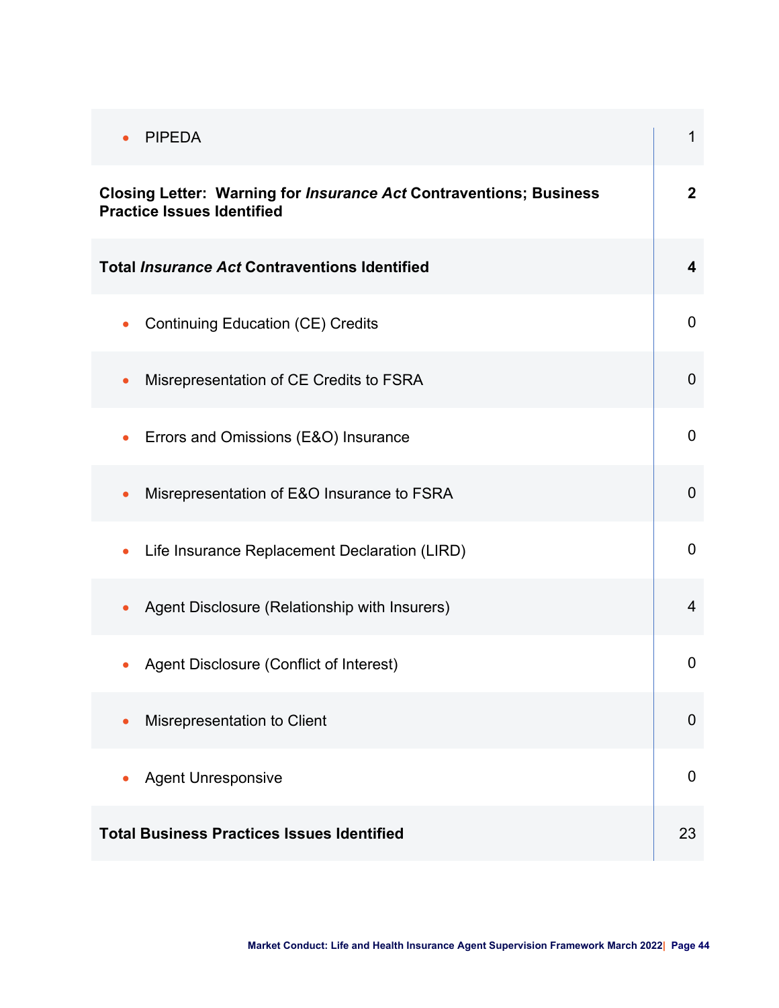| <b>PIPEDA</b><br>$\bullet$                                                                                     | $\mathbf{1}$            |
|----------------------------------------------------------------------------------------------------------------|-------------------------|
| <b>Closing Letter: Warning for Insurance Act Contraventions; Business</b><br><b>Practice Issues Identified</b> | $\overline{2}$          |
| <b>Total Insurance Act Contraventions Identified</b>                                                           | $\overline{\mathbf{4}}$ |
| <b>Continuing Education (CE) Credits</b><br>$\bullet$                                                          | $\mathbf 0$             |
| Misrepresentation of CE Credits to FSRA<br>$\bullet$                                                           | $\overline{0}$          |
| Errors and Omissions (E&O) Insurance<br>$\bullet$                                                              | $\mathbf 0$             |
| Misrepresentation of E&O Insurance to FSRA<br>$\bullet$                                                        | $\overline{0}$          |
| Life Insurance Replacement Declaration (LIRD)<br>$\bullet$                                                     | $\mathbf 0$             |
| Agent Disclosure (Relationship with Insurers)<br>$\bullet$                                                     | $\overline{4}$          |
| Agent Disclosure (Conflict of Interest)                                                                        | $\overline{0}$          |
| Misrepresentation to Client<br>$\bullet$                                                                       | $\overline{0}$          |
| <b>Agent Unresponsive</b>                                                                                      | $\mathbf 0$             |
| <b>Total Business Practices Issues Identified</b>                                                              | 23                      |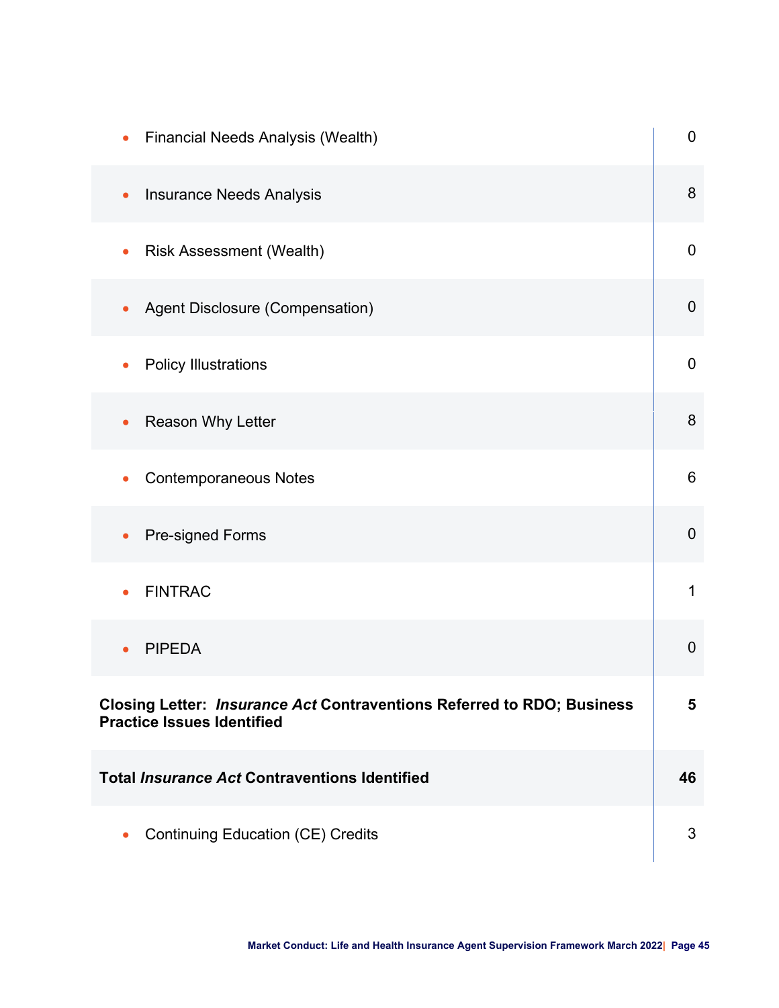| <b>Financial Needs Analysis (Wealth)</b>                                                                    | $\boldsymbol{0}$ |
|-------------------------------------------------------------------------------------------------------------|------------------|
| <b>Insurance Needs Analysis</b><br>$\bullet$                                                                | 8                |
| <b>Risk Assessment (Wealth)</b><br>$\bullet$                                                                | $\boldsymbol{0}$ |
| Agent Disclosure (Compensation)                                                                             | $\mathbf 0$      |
| <b>Policy Illustrations</b>                                                                                 | $\mathbf 0$      |
| Reason Why Letter                                                                                           | 8                |
| <b>Contemporaneous Notes</b><br>$\bullet$                                                                   | 6                |
| <b>Pre-signed Forms</b>                                                                                     | $\boldsymbol{0}$ |
| <b>FINTRAC</b>                                                                                              | 1                |
| <b>PIPEDA</b>                                                                                               | $\mathbf 0$      |
| Closing Letter: Insurance Act Contraventions Referred to RDO; Business<br><b>Practice Issues Identified</b> | 5                |
| <b>Total Insurance Act Contraventions Identified</b>                                                        | 46               |
| <b>Continuing Education (CE) Credits</b>                                                                    | 3                |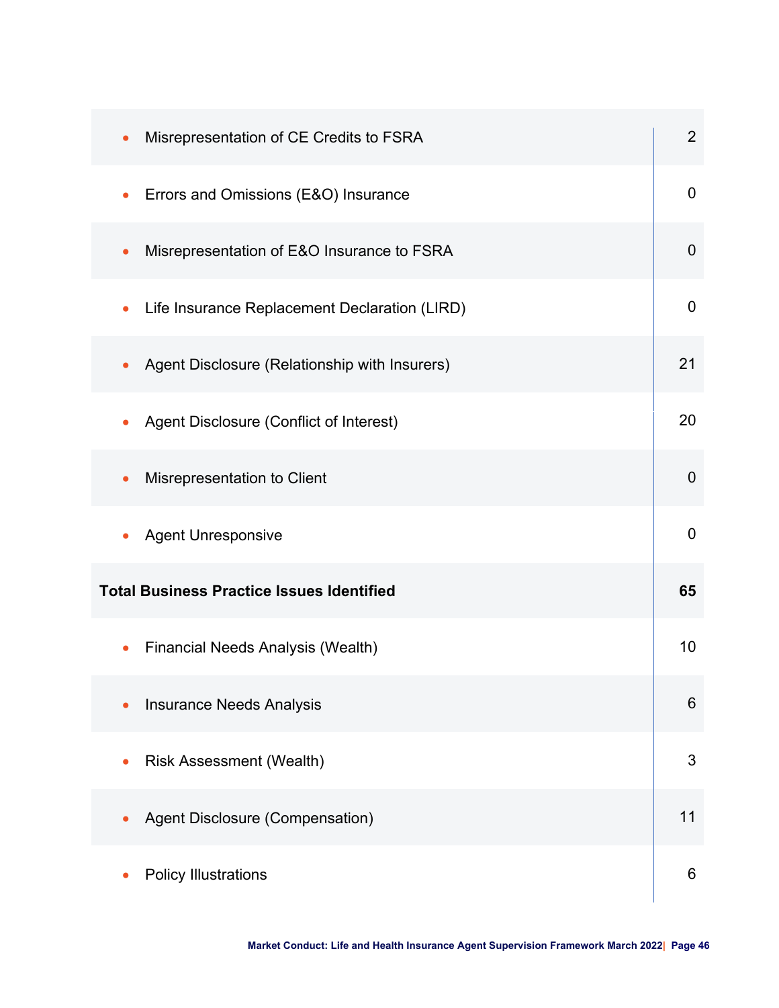| Misrepresentation of CE Credits to FSRA<br>$\bullet$       | $\overline{2}$ |
|------------------------------------------------------------|----------------|
| Errors and Omissions (E&O) Insurance                       | $\overline{0}$ |
| Misrepresentation of E&O Insurance to FSRA<br>$\bullet$    | $\mathbf 0$    |
| Life Insurance Replacement Declaration (LIRD)<br>$\bullet$ | $\overline{0}$ |
| Agent Disclosure (Relationship with Insurers)              | 21             |
| Agent Disclosure (Conflict of Interest)                    | 20             |
| Misrepresentation to Client                                | $\overline{0}$ |
| <b>Agent Unresponsive</b>                                  | $\overline{0}$ |
| <b>Total Business Practice Issues Identified</b>           | 65             |
| <b>Financial Needs Analysis (Wealth)</b>                   | 10             |
| <b>Insurance Needs Analysis</b>                            | 6              |
| <b>Risk Assessment (Wealth)</b>                            | 3              |
| Agent Disclosure (Compensation)                            | 11             |
| <b>Policy Illustrations</b>                                | 6              |